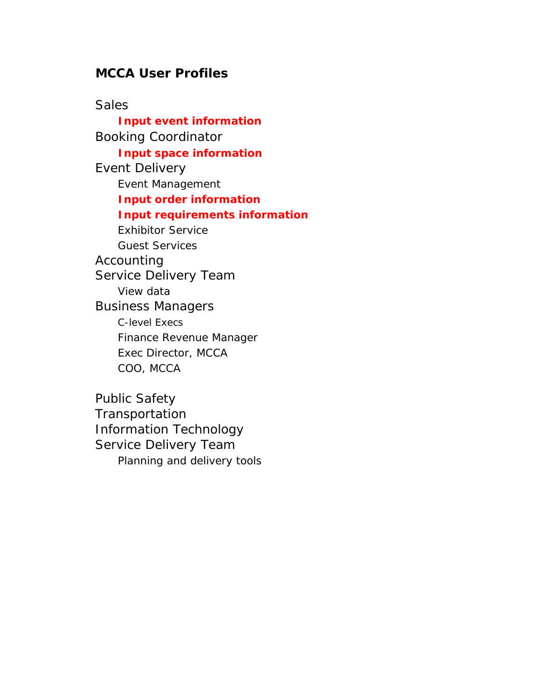## **MCCA User Profiles**

**Sales Input event information** Booking Coordinator **Input space information** Event Delivery Event Management **Input order information Input requirements information** Exhibitor Service Guest Services Accounting Service Delivery Team View data Business Managers C-level Execs Finance Revenue Manager Exec Director, MCCA COO, MCCA

Public Safety **Transportation** Information Technology Service Delivery Team Planning and delivery tools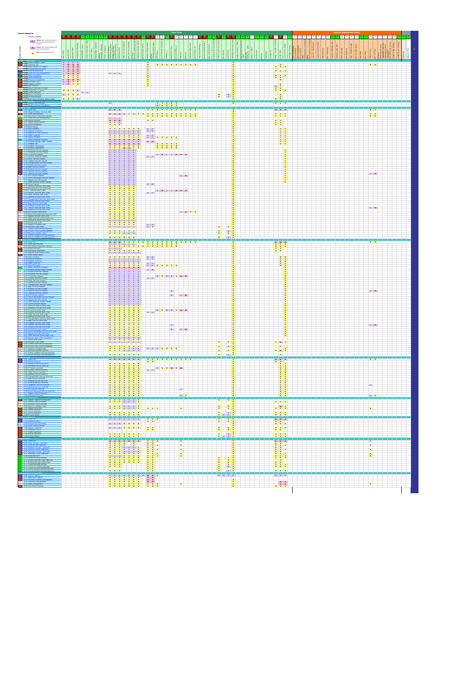| Event Lifecycle<br>Priority (Roles)                                                                                                                                                                                                                                                                                                                                                                                                                                                          |                                                                                    | <b>Main Role</b>                                                                                                                                                                                                                                                                                                                                                                                                                                                                                   |                                       |                                                                                                         |                                                                                              |
|----------------------------------------------------------------------------------------------------------------------------------------------------------------------------------------------------------------------------------------------------------------------------------------------------------------------------------------------------------------------------------------------------------------------------------------------------------------------------------------------|------------------------------------------------------------------------------------|----------------------------------------------------------------------------------------------------------------------------------------------------------------------------------------------------------------------------------------------------------------------------------------------------------------------------------------------------------------------------------------------------------------------------------------------------------------------------------------------------|---------------------------------------|---------------------------------------------------------------------------------------------------------|----------------------------------------------------------------------------------------------|
| Initiate - Start a task or a process;<br>$\begin{tabular}{ c c } \hline \textbf{I} & \textbf{Influte-sut} & \textbf{on} & \textbf{on} & \textbf{on} \\ \hline \textbf{I} & \textbf{amend}, \textbf{eff}, \textbf{and} \textbf{view process} \\ \hline \end{tabular}$                                                                                                                                                                                                                         |                                                                                    |                                                                                                                                                                                                                                                                                                                                                                                                                                                                                                    |                                       |                                                                                                         |                                                                                              |
| content                                                                                                                                                                                                                                                                                                                                                                                                                                                                                      |                                                                                    |                                                                                                                                                                                                                                                                                                                                                                                                                                                                                                    |                                       |                                                                                                         |                                                                                              |
| A Amend - Edit, amend, update and<br>view process content                                                                                                                                                                                                                                                                                                                                                                                                                                    |                                                                                    | $\begin{tabular}{ c c } \hline $a$-square & $a$-space \\ \hline $b$-space & $b$-space \\ \hline $c$-space & $b$-space \\ \hline $c$-space & $c$-space \\ \hline $d$-space & $d$-space \\ \hline $d$-space & $d$-space \\ \hline $e$-space & $e$-space \\ \hline $f$-space & $f$-space \\ \hline $f$-space & $f$-space \\ \hline $g$-space & $f$-space \\ \hline $g$-space & $f$-space \\ \hline $g$-space & $f$-space \\ \hline $g$-space & $f$-space \\ \hline $g$-space & $f$-$<br>$\frac{3}{2}$ | $\frac{\pi}{20}$                      |                                                                                                         | š.                                                                                           |
| View - view process content<br>$\mathbf{V}$                                                                                                                                                                                                                                                                                                                                                                                                                                                  |                                                                                    |                                                                                                                                                                                                                                                                                                                                                                                                                                                                                                    |                                       | $\hat{8}$                                                                                               |                                                                                              |
|                                                                                                                                                                                                                                                                                                                                                                                                                                                                                              |                                                                                    |                                                                                                                                                                                                                                                                                                                                                                                                                                                                                                    |                                       |                                                                                                         |                                                                                              |
| 1.5017.500 system<br>1.02 Customer info<br>1.02 Customer info<br>2. 1.03 Event History (incl paper)<br>2. 1.04 Re-book previous event<br>1.05 Event specifications<br>1.05 Clinct State includes<br>1.05 Clinct State includes                                                                                                                                                                                                                                                               | $\begin{array}{c c c c} & & & & 1 \\ \hline A & A & \end{array}$<br>$\overline{A}$ | V V V V V V V V V                                                                                                                                                                                                                                                                                                                                                                                                                                                                                  |                                       |                                                                                                         | $V$ $V$                                                                                      |
|                                                                                                                                                                                                                                                                                                                                                                                                                                                                                              | 1 A A A<br>1 A A A<br>1 A A A<br>1 A A A<br>V V V V                                |                                                                                                                                                                                                                                                                                                                                                                                                                                                                                                    |                                       | $\begin{array}{ c c c }\n\hline\nv & v & v \\ \hline\n\end{array}$                                      |                                                                                              |
|                                                                                                                                                                                                                                                                                                                                                                                                                                                                                              |                                                                                    |                                                                                                                                                                                                                                                                                                                                                                                                                                                                                                    |                                       | $V$ $V$ $V$                                                                                             |                                                                                              |
| 1.06 Client site visit management<br>1.07 Space availability<br>3. 1.08 Hotels availability<br>1.09 Proposal management<br>1.09 Proposal management                                                                                                                                                                                                                                                                                                                                          |                                                                                    |                                                                                                                                                                                                                                                                                                                                                                                                                                                                                                    |                                       | $\mathbf v$<br>$\mathbf{v}$                                                                             |                                                                                              |
| 1.10 Hold space (iq)<br>1.11 Prepare contract                                                                                                                                                                                                                                                                                                                                                                                                                                                | V V V<br>V V V<br>I A A<br>I A V<br>A                                              |                                                                                                                                                                                                                                                                                                                                                                                                                                                                                                    |                                       |                                                                                                         |                                                                                              |
|                                                                                                                                                                                                                                                                                                                                                                                                                                                                                              |                                                                                    |                                                                                                                                                                                                                                                                                                                                                                                                                                                                                                    |                                       | $\frac{1}{\mathsf{v}}$                                                                                  |                                                                                              |
| 1 1/2 Sign contract<br>2 1/13 Setup Financials for event<br>2 1/14 Create P&L for event<br>1 1/15 Submit payment<br>1.15 Submit payment                                                                                                                                                                                                                                                                                                                                                      |                                                                                    |                                                                                                                                                                                                                                                                                                                                                                                                                                                                                                    |                                       | $\frac{v}{v}$<br>$\mathbf{v}$                                                                           |                                                                                              |
| 1.16 Receive payment<br>1.17 Process payment<br>1.18 Book space (all other status codes)                                                                                                                                                                                                                                                                                                                                                                                                     |                                                                                    |                                                                                                                                                                                                                                                                                                                                                                                                                                                                                                    |                                       |                                                                                                         |                                                                                              |
|                                                                                                                                                                                                                                                                                                                                                                                                                                                                                              | VVVII                                                                              |                                                                                                                                                                                                                                                                                                                                                                                                                                                                                                    |                                       |                                                                                                         |                                                                                              |
| 1 2.01 Assign Event Manager<br>1 2.02 Assign Technical Coordi                                                                                                                                                                                                                                                                                                                                                                                                                                |                                                                                    | $\mathbf{L}$                                                                                                                                                                                                                                                                                                                                                                                                                                                                                       |                                       | V V V                                                                                                   |                                                                                              |
| 3.01 Client info                                                                                                                                                                                                                                                                                                                                                                                                                                                                             |                                                                                    | <u>v v v v v v v v v v v v v v</u><br>$A$ $A$ $A$                                                                                                                                                                                                                                                                                                                                                                                                                                                  |                                       | $A \quad A \quad A$                                                                                     | $V$ $V$                                                                                      |
| 3.02 Assign Exhibitor Services staff<br>1 3.03 Event specifications                                                                                                                                                                                                                                                                                                                                                                                                                          |                                                                                    | A A A I V I V V V V V V V V V V V V V V                                                                                                                                                                                                                                                                                                                                                                                                                                                            |                                       | $\begin{array}{c c c c c} \n\times & \vee & \vee & \vee \\ \n\times & \vee & \vee & \vee \n\end{array}$ | $\begin{array}{c c c} \mathbf{V} & \mathbf{V} \\ \hline \mathbf{V} & \mathbf{V} \end{array}$ |
| 2 3.04 View Eyent Information<br>2 3.04 View Event Information History<br>3 3.05 Client site visit management<br>1 3.07 Space change request<br>1 3.07 Space change request                                                                                                                                                                                                                                                                                                                  |                                                                                    | $\frac{1}{V}$<br>$\begin{array}{c c}\n1 \\ N \\ N\n\end{array}$<br>A<br>$V = V$                                                                                                                                                                                                                                                                                                                                                                                                                    |                                       | $\mathbf v$                                                                                             |                                                                                              |
| 3.08 Space availability                                                                                                                                                                                                                                                                                                                                                                                                                                                                      |                                                                                    | $\frac{1}{\mathsf{v}}$                                                                                                                                                                                                                                                                                                                                                                                                                                                                             |                                       | $\frac{8}{1}$<br><b>v</b>                                                                               |                                                                                              |
| 3.09 Book/release<br>2 3.10 View inventory<br>2 3.11 Reserve inventory                                                                                                                                                                                                                                                                                                                                                                                                                       |                                                                                    | $\pm 1$                                                                                                                                                                                                                                                                                                                                                                                                                                                                                            |                                       |                                                                                                         |                                                                                              |
| 3.12 Request for new inventory                                                                                                                                                                                                                                                                                                                                                                                                                                                               |                                                                                    | THE TH                                                                                                                                                                                                                                                                                                                                                                                                                                                                                             |                                       |                                                                                                         |                                                                                              |
|                                                                                                                                                                                                                                                                                                                                                                                                                                                                                              |                                                                                    | $\begin{array}{c c}\nV & V \\ V & V \\ A & A \\ I & I\n\end{array}$<br>THE V V V V                                                                                                                                                                                                                                                                                                                                                                                                                 |                                       |                                                                                                         |                                                                                              |
|                                                                                                                                                                                                                                                                                                                                                                                                                                                                                              |                                                                                    | $A$ $A$                                                                                                                                                                                                                                                                                                                                                                                                                                                                                            |                                       | $\frac{\mathsf{v}}{\mathsf{v}}$                                                                         |                                                                                              |
|                                                                                                                                                                                                                                                                                                                                                                                                                                                                                              |                                                                                    | $\frac{v}{v}$<br>$\frac{v}{v}$<br>$\frac{V}{A}$                                                                                                                                                                                                                                                                                                                                                                                                                                                    |                                       |                                                                                                         |                                                                                              |
|                                                                                                                                                                                                                                                                                                                                                                                                                                                                                              |                                                                                    | <b>THAIRAA</b>                                                                                                                                                                                                                                                                                                                                                                                                                                                                                     |                                       |                                                                                                         |                                                                                              |
| $\begin{tabular}{ c c } \hline \textbf{2} & 313 \textbf{ Square its rest where } \\ \hline \textbf{3} & 312 \textbf{ Square its rest where} \\ \hline \textbf{7} & 314 \textbf{ Space Hospital} \\ \hline \textbf{8} & 315 \textbf{ Space Hospital} \\ \hline \textbf{1} & 315 \textbf{ Space digital} \\ \hline \textbf{2} & 310 \textbf{ B} & 308 \textbf{F} \\ \hline \textbf{3} & 310 \textbf{ B} & 308 \textbf{F} \\ \hline \textbf{2} & 311 \textbf{ B} & 308 \textbf{F$               |                                                                                    |                                                                                                                                                                                                                                                                                                                                                                                                                                                                                                    |                                       |                                                                                                         |                                                                                              |
| 3.25 Lighting Services request<br>3.26 Transportation Services request                                                                                                                                                                                                                                                                                                                                                                                                                       |                                                                                    |                                                                                                                                                                                                                                                                                                                                                                                                                                                                                                    |                                       |                                                                                                         |                                                                                              |
| 3.27 Parking Services request<br>3.28 Bags Services request                                                                                                                                                                                                                                                                                                                                                                                                                                  |                                                                                    |                                                                                                                                                                                                                                                                                                                                                                                                                                                                                                    |                                       |                                                                                                         |                                                                                              |
| 1 3.29 Building Services request<br>1 3.30 Telecom Services request<br>1 3.31 Cleaning Services request<br>2 3.32 AV Services request<br>2 3.32 AV Services request                                                                                                                                                                                                                                                                                                                          |                                                                                    |                                                                                                                                                                                                                                                                                                                                                                                                                                                                                                    |                                       |                                                                                                         | $\mathbf{I}$ $\mathbf{A}$                                                                    |
|                                                                                                                                                                                                                                                                                                                                                                                                                                                                                              |                                                                                    | $\blacksquare$                                                                                                                                                                                                                                                                                                                                                                                                                                                                                     |                                       |                                                                                                         |                                                                                              |
| 2 3.33 Food & Beverage Services request<br>2 3.34 Rigging Services request<br>2 3.35 Other external vendor request                                                                                                                                                                                                                                                                                                                                                                           |                                                                                    | $\mathbf{E}=\mathbf{E}$                                                                                                                                                                                                                                                                                                                                                                                                                                                                            |                                       |                                                                                                         |                                                                                              |
| 1 3.36 Cancel request<br>1 3.36 Cancel request<br>1 3.37 Electrical Services work order                                                                                                                                                                                                                                                                                                                                                                                                      |                                                                                    |                                                                                                                                                                                                                                                                                                                                                                                                                                                                                                    |                                       |                                                                                                         |                                                                                              |
| 3.38 Plumbing Services work order<br>3.39 IT Services work order<br>3.40 Security Services work order                                                                                                                                                                                                                                                                                                                                                                                        |                                                                                    | <b>TALAAA</b>                                                                                                                                                                                                                                                                                                                                                                                                                                                                                      |                                       |                                                                                                         |                                                                                              |
| 3.41 HVAC Services work order<br>3.42 Lighting Services work order                                                                                                                                                                                                                                                                                                                                                                                                                           |                                                                                    |                                                                                                                                                                                                                                                                                                                                                                                                                                                                                                    |                                       |                                                                                                         |                                                                                              |
| 3.43 Transportation Services work order<br>3.44 Parking Services work order<br>3.45 Bags Services work order                                                                                                                                                                                                                                                                                                                                                                                 |                                                                                    |                                                                                                                                                                                                                                                                                                                                                                                                                                                                                                    |                                       |                                                                                                         |                                                                                              |
| 3.46 Building Services work order<br>3.47 Telecom Services work order                                                                                                                                                                                                                                                                                                                                                                                                                        |                                                                                    |                                                                                                                                                                                                                                                                                                                                                                                                                                                                                                    |                                       |                                                                                                         | $\blacksquare$                                                                               |
| 1 3.48 Cleaning Services work order<br>2 3.49 A/V Services work order                                                                                                                                                                                                                                                                                                                                                                                                                        |                                                                                    | $\begin{array}{c c c c c c} \hline \textbf{I} & \textbf{A} & \textbf{V} & \textbf{V} & \textbf{V} \\\hline \end{array}$                                                                                                                                                                                                                                                                                                                                                                            |                                       |                                                                                                         |                                                                                              |
| 2 3.50 Food & Beverage Services work order<br>2 3.51 Rigging Services work order                                                                                                                                                                                                                                                                                                                                                                                                             |                                                                                    |                                                                                                                                                                                                                                                                                                                                                                                                                                                                                                    |                                       |                                                                                                         |                                                                                              |
| 2 3.52 Other external vendor work order<br>3.53 Request to cancel work order<br>1 3.54 Cancel work order<br>1 3.55 Assign & schedule staff<br>1 3.56 Discount Client order                                                                                                                                                                                                                                                                                                                   |                                                                                    | $-1$ $-1$<br>$-1$ $-1$ $-1$                                                                                                                                                                                                                                                                                                                                                                                                                                                                        |                                       |                                                                                                         |                                                                                              |
|                                                                                                                                                                                                                                                                                                                                                                                                                                                                                              |                                                                                    | $\frac{1}{2}$ $\frac{1}{2}$                                                                                                                                                                                                                                                                                                                                                                                                                                                                        | $V$ $V$                               |                                                                                                         |                                                                                              |
| 3.57 Submit Client services payment<br>3.58 Process Client services payment                                                                                                                                                                                                                                                                                                                                                                                                                  |                                                                                    |                                                                                                                                                                                                                                                                                                                                                                                                                                                                                                    | $\frac{1}{\sqrt{2}}$<br>$\frac{V}{V}$ |                                                                                                         |                                                                                              |
| 3.59 Discount exhibitor order<br>3.60 Submit exhibitor services payment<br>3.61 Process exhibitor services paym                                                                                                                                                                                                                                                                                                                                                                              |                                                                                    |                                                                                                                                                                                                                                                                                                                                                                                                                                                                                                    | V<br>$\overline{\phantom{a}}$         |                                                                                                         |                                                                                              |
| 4.01 Client info                                                                                                                                                                                                                                                                                                                                                                                                                                                                             |                                                                                    |                                                                                                                                                                                                                                                                                                                                                                                                                                                                                                    |                                       |                                                                                                         | $V$ $V$                                                                                      |
| 4.01 Client info<br>4.02 Event specifications                                                                                                                                                                                                                                                                                                                                                                                                                                                |                                                                                    | $\begin{array}{c c}\n\cdot & \cdot \\ \hline\nv & v \\ \hline\n1 & 1\n\end{array}$                                                                                                                                                                                                                                                                                                                                                                                                                 |                                       | $\begin{array}{c ccccc}\nA & A & A & A \\ V & V & V & V \\ V & V & V & V\n\end{array}$                  |                                                                                              |
| 4.03 View Event Information History<br>1.4.04 Amend contract<br>1.4.05 View space availability                                                                                                                                                                                                                                                                                                                                                                                               |                                                                                    |                                                                                                                                                                                                                                                                                                                                                                                                                                                                                                    |                                       |                                                                                                         |                                                                                              |
| 4.06 Request book/release space<br>4.07 Book/release space                                                                                                                                                                                                                                                                                                                                                                                                                                   |                                                                                    |                                                                                                                                                                                                                                                                                                                                                                                                                                                                                                    |                                       |                                                                                                         |                                                                                              |
| 2 4.08 View inventory<br>2 4.09 Reserve inventory<br>4.10 T                                                                                                                                                                                                                                                                                                                                                                                                                                  |                                                                                    | $\frac{1}{2}$ , $\frac{1}{2}$                                                                                                                                                                                                                                                                                                                                                                                                                                                                      |                                       |                                                                                                         |                                                                                              |
| $\begin{tabular}{c c c} \multicolumn{2}{c}{\textbf{2.4.00} Reaveive window}\\ \multicolumn{2}{c}{\textbf{3.4.00} Reave's Newtonity}\\ \multicolumn{2}{c}{\textbf{7.4.10} Ordegicativeity}\\ \multicolumn{2}{c}{\textbf{7.4.12} Seave intensity}\\ \multicolumn{2}{c}{\textbf{8.4.15} Seave utility}\\ \multicolumn{2}{c}{\textbf{2.4.15} Seave utility}\\ \multicolumn{2}{c}{\textbf{2.4.15} Beare's flow of equator.}\\ \multicolumn{2}{c}{\textbf{2.4.15} Reimes is flow of equator.}\\ \$ |                                                                                    | <b>THEYVVVV</b>                                                                                                                                                                                                                                                                                                                                                                                                                                                                                    |                                       | $\mathbf{v}$                                                                                            |                                                                                              |
|                                                                                                                                                                                                                                                                                                                                                                                                                                                                                              |                                                                                    | $\mathbf{A}$<br>$1 - a$<br>÷<br>т                                                                                                                                                                                                                                                                                                                                                                                                                                                                  |                                       |                                                                                                         |                                                                                              |
|                                                                                                                                                                                                                                                                                                                                                                                                                                                                                              |                                                                                    | <u> Time de la partid de la part</u>                                                                                                                                                                                                                                                                                                                                                                                                                                                               |                                       |                                                                                                         |                                                                                              |
|                                                                                                                                                                                                                                                                                                                                                                                                                                                                                              |                                                                                    |                                                                                                                                                                                                                                                                                                                                                                                                                                                                                                    |                                       |                                                                                                         |                                                                                              |
| 2 4.19 Statistics request<br>2 4.20 Lighting Services request<br>2 4.20 Lighting Services request<br>2 4.21 Transportation Services request<br>2 4.22 Boatle Services request<br>2 4.22 Boatle Services request                                                                                                                                                                                                                                                                              |                                                                                    |                                                                                                                                                                                                                                                                                                                                                                                                                                                                                                    |                                       |                                                                                                         |                                                                                              |
| 4.23 Building Services requi<br>2 4.24 Telecom Services request                                                                                                                                                                                                                                                                                                                                                                                                                              |                                                                                    | $\mathbf{H}$                                                                                                                                                                                                                                                                                                                                                                                                                                                                                       |                                       |                                                                                                         | $\mathbf{I}$ $\mathbf{A}$                                                                    |
| 2 4.25 Cleaning Services request<br>2 4.26 A/V Services request                                                                                                                                                                                                                                                                                                                                                                                                                              |                                                                                    |                                                                                                                                                                                                                                                                                                                                                                                                                                                                                                    |                                       |                                                                                                         |                                                                                              |
| 2 4.27 Food & Beverage Services request<br>2 4.28 Rigging Services request                                                                                                                                                                                                                                                                                                                                                                                                                   |                                                                                    |                                                                                                                                                                                                                                                                                                                                                                                                                                                                                                    |                                       |                                                                                                         |                                                                                              |
| 2 4.29 Other external vendor request                                                                                                                                                                                                                                                                                                                                                                                                                                                         |                                                                                    |                                                                                                                                                                                                                                                                                                                                                                                                                                                                                                    |                                       |                                                                                                         |                                                                                              |
| 2 4.30 Cancel services request<br>2 4.31 Electrical Services work order<br>2 4.32 Plumbling Services work order<br>2 4.33 IT Services work order                                                                                                                                                                                                                                                                                                                                             |                                                                                    | <b>THE VIIVAA</b>                                                                                                                                                                                                                                                                                                                                                                                                                                                                                  |                                       |                                                                                                         |                                                                                              |
| 2 4.34 Security Services work order<br>2 4.35 HVAC Services work order                                                                                                                                                                                                                                                                                                                                                                                                                       |                                                                                    |                                                                                                                                                                                                                                                                                                                                                                                                                                                                                                    |                                       |                                                                                                         |                                                                                              |
| 2 4.36 Lighting Services work order<br>2 4.37 Transportation Services work order<br>2 4.38 Bags Services work order                                                                                                                                                                                                                                                                                                                                                                          |                                                                                    |                                                                                                                                                                                                                                                                                                                                                                                                                                                                                                    |                                       |                                                                                                         |                                                                                              |
| 2 4.39 Building Services work order<br>2 4.40 Telecom Services work order                                                                                                                                                                                                                                                                                                                                                                                                                    |                                                                                    | $\mathbf{L}$                                                                                                                                                                                                                                                                                                                                                                                                                                                                                       |                                       |                                                                                                         | $\blacksquare$                                                                               |
| 2 4.41 Cleaning Services work order<br>2 4.42 A/V Services work order                                                                                                                                                                                                                                                                                                                                                                                                                        |                                                                                    |                                                                                                                                                                                                                                                                                                                                                                                                                                                                                                    |                                       |                                                                                                         |                                                                                              |
| 2 4.43 Food & Beverage Services work order<br>2 4.44 Rigging Services work order                                                                                                                                                                                                                                                                                                                                                                                                             |                                                                                    |                                                                                                                                                                                                                                                                                                                                                                                                                                                                                                    |                                       |                                                                                                         |                                                                                              |
| 2 4.45 Other external vendor work order<br>4.46 Request work order cancellation<br>2 4.47 Cancel work order                                                                                                                                                                                                                                                                                                                                                                                  |                                                                                    |                                                                                                                                                                                                                                                                                                                                                                                                                                                                                                    |                                       |                                                                                                         |                                                                                              |
| 4.48 Discount Client order<br>4.49 Submit Client services payment                                                                                                                                                                                                                                                                                                                                                                                                                            |                                                                                    | $1 - 1$<br>11111111<br>$\mathbf{L}$                                                                                                                                                                                                                                                                                                                                                                                                                                                                | $V$ $V$                               | V A V                                                                                                   |                                                                                              |
| 4.50 Process Client services payment<br>2 4.51 Assign & schedule staff                                                                                                                                                                                                                                                                                                                                                                                                                       |                                                                                    | $\frac{1}{2}$<br>$\frac{v}{v}$<br><b>THEFTWWW</b>                                                                                                                                                                                                                                                                                                                                                                                                                                                  | $V = -1$<br>V<br>$\mathbf{v}$         | $\mathbf{v}$<br>V A V                                                                                   |                                                                                              |
| 2 4.52 Discount exhibitor services<br>2 4.53 Submit exhibitor services payment<br>2 4.54 Process exhibitor services payment                                                                                                                                                                                                                                                                                                                                                                  |                                                                                    | V V V V V V V                                                                                                                                                                                                                                                                                                                                                                                                                                                                                      | $\mathbf{u}$<br>V                     | $\mathbf{v}$                                                                                            |                                                                                              |
|                                                                                                                                                                                                                                                                                                                                                                                                                                                                                              |                                                                                    | A A A A A A A<br><u>V V V V V V V V V V V V V</u>                                                                                                                                                                                                                                                                                                                                                                                                                                                  |                                       | A A A                                                                                                   | $V$ $V$                                                                                      |
| 1 5.01 Client Info<br>1 5.02 Amend contract<br>2 5.03 Electrical Service reconcile                                                                                                                                                                                                                                                                                                                                                                                                           |                                                                                    | $\mathbf{v}$                                                                                                                                                                                                                                                                                                                                                                                                                                                                                       |                                       |                                                                                                         |                                                                                              |
| 2 5.04 Plumbing Service reconcile<br>2 5.05 IT Service reconcile<br>2 5.06 Security Service reconcile                                                                                                                                                                                                                                                                                                                                                                                        |                                                                                    | I I V V A V A<br>$\mathbf{v}$<br>$\mathbf{v}$                                                                                                                                                                                                                                                                                                                                                                                                                                                      |                                       |                                                                                                         |                                                                                              |
| 2 5.07 HVAC Service reconcile<br>2 5.08 Lighting Service reconcile                                                                                                                                                                                                                                                                                                                                                                                                                           |                                                                                    | $\mathbf{v}$<br>$\mathbf{v}$                                                                                                                                                                                                                                                                                                                                                                                                                                                                       |                                       |                                                                                                         |                                                                                              |
| 2 5.09 Transportation Service reconcile<br>2 5.10 Bags Service reconcile                                                                                                                                                                                                                                                                                                                                                                                                                     |                                                                                    |                                                                                                                                                                                                                                                                                                                                                                                                                                                                                                    |                                       |                                                                                                         |                                                                                              |
| 2 5.11 Building Service reconcile<br>2 5.12 Building damage reconcile<br>2 5.13 Telephone Service reconcile                                                                                                                                                                                                                                                                                                                                                                                  |                                                                                    |                                                                                                                                                                                                                                                                                                                                                                                                                                                                                                    |                                       |                                                                                                         | $\  \cdot \ $                                                                                |
| 2 5.14 Cleaning Service reconcile<br>2 5.15 A/V Service reconcile                                                                                                                                                                                                                                                                                                                                                                                                                            |                                                                                    | $\mathbf{H}$                                                                                                                                                                                                                                                                                                                                                                                                                                                                                       |                                       |                                                                                                         |                                                                                              |
| 2 5.16 Food & Beverage Service reconcile<br>2 5.17 Rigging Service reconcile<br>2 5.18 Inventory Reconcile                                                                                                                                                                                                                                                                                                                                                                                   |                                                                                    | $\mathbf{I}$ $\mathbf{V}$                                                                                                                                                                                                                                                                                                                                                                                                                                                                          |                                       |                                                                                                         | $\mathbf{I}$ $\mathbf{V}$                                                                    |
| 1 6.01 Update Telephone Billing Info                                                                                                                                                                                                                                                                                                                                                                                                                                                         |                                                                                    |                                                                                                                                                                                                                                                                                                                                                                                                                                                                                                    | $\mathbf{v}$<br>$\mathbf{v}$          |                                                                                                         |                                                                                              |
| 2 6.02 Internal Service Review<br>2 6.03 Exhibitor Service Review                                                                                                                                                                                                                                                                                                                                                                                                                            |                                                                                    |                                                                                                                                                                                                                                                                                                                                                                                                                                                                                                    |                                       | $V$ $V$ $V$                                                                                             |                                                                                              |
| 6.04 Discount exhibitor order<br>6.06 Submit payment                                                                                                                                                                                                                                                                                                                                                                                                                                         |                                                                                    | <u> X X X I I I X X V V V</u><br>V                                                                                                                                                                                                                                                                                                                                                                                                                                                                 | $\frac{v}{v}$                         | $\begin{array}{c c}\n\hline\nv & v & v\n\end{array}$                                                    | $\mathbf{v}$                                                                                 |
| 6.07 Process payment<br>6.08 Process refund                                                                                                                                                                                                                                                                                                                                                                                                                                                  |                                                                                    | <u>VVVVVVV</u>                                                                                                                                                                                                                                                                                                                                                                                                                                                                                     | $\blacksquare$                        | $\begin{array}{c c c c c} \n\times & \vee & \vee & \vee \\ \n\times & \vee & \vee \end{array}$          |                                                                                              |
| 7.01 Client nfo                                                                                                                                                                                                                                                                                                                                                                                                                                                                              |                                                                                    | in viene in vier viene in de standing vie<br>$\begin{array}{ c c c c c }\hline \textbf{v} & \textbf{v} & \textbf{v} \\ \hline \textbf{v} & \textbf{v} & \textbf{v} \\ \hline \end{array}$                                                                                                                                                                                                                                                                                                          |                                       |                                                                                                         |                                                                                              |
|                                                                                                                                                                                                                                                                                                                                                                                                                                                                                              |                                                                                    |                                                                                                                                                                                                                                                                                                                                                                                                                                                                                                    |                                       | $\begin{array}{ c c c c }\hline A & A & A \\ \hline V & V & \\ \hline V & V & V \\ \hline \end{array}$  |                                                                                              |
|                                                                                                                                                                                                                                                                                                                                                                                                                                                                                              |                                                                                    | THUVVVV VV                                                                                                                                                                                                                                                                                                                                                                                                                                                                                         | $\frac{v}{v}$<br>$\frac{v}{v}$        | $\begin{array}{c c c c c} \n\times & \vee & \vee \\ \n\times & \vee & \end{array}$                      |                                                                                              |
| 7.05 Dispute resolution                                                                                                                                                                                                                                                                                                                                                                                                                                                                      |                                                                                    |                                                                                                                                                                                                                                                                                                                                                                                                                                                                                                    |                                       |                                                                                                         |                                                                                              |
| 7.06 Generate invoice<br>7.07 Submit payment<br>7.08 Process payment                                                                                                                                                                                                                                                                                                                                                                                                                         |                                                                                    |                                                                                                                                                                                                                                                                                                                                                                                                                                                                                                    |                                       |                                                                                                         |                                                                                              |
| 7.09 Process refund                                                                                                                                                                                                                                                                                                                                                                                                                                                                          |                                                                                    | VVVVVVV                                                                                                                                                                                                                                                                                                                                                                                                                                                                                            | $\frac{V}{V}$ $\frac{1}{1}$           | $\begin{array}{c c c c c} \n\times & \vee & \vee & \vee \\ \n\times & \vee & \vee & \vee \end{array}$   |                                                                                              |
| 8.01 Client info<br>8.02 Client surveys - generate                                                                                                                                                                                                                                                                                                                                                                                                                                           |                                                                                    | $\begin{array}{c c}\nA & A & A \\ \hline\n\end{array}$<br>$\frac{A}{V}$<br>$\frac{A}{V}$<br>$\frac{A}{V}$<br>$\frac{A}{V}$<br>$\frac{v}{v}$<br>$\mathbf{v}$<br>$\mathbf{v}$<br><b>V</b>                                                                                                                                                                                                                                                                                                            |                                       | $\begin{array}{c c c c}\nA & A & A \\ \hline\nV & V & \n\end{array}$                                    | $\mathbf{v}$                                                                                 |
| 8.03 Client survey responses<br>8.04 Exhibitor surveys - generate                                                                                                                                                                                                                                                                                                                                                                                                                            |                                                                                    | $\mathbf v$<br>$\mathbf v$<br>$\overline{\mathsf{v}}$                                                                                                                                                                                                                                                                                                                                                                                                                                              |                                       | $\mathbf v$<br>$\overline{\mathsf{v}}$                                                                  | $\mathbf{V}$                                                                                 |
| 8.05 Exhibitor survey responses<br>8.06 Attendee surveys - generate                                                                                                                                                                                                                                                                                                                                                                                                                          |                                                                                    | v<br>$\mathbf v$<br>$\frac{v}{v}$<br>V                                                                                                                                                                                                                                                                                                                                                                                                                                                             |                                       | $\mathbf v$<br>$\mathbf{v}$                                                                             | $\mathbf{v}$                                                                                 |
| 8.07 Attendee survey responses<br>8.08 Event post-con<br>8.09 Update building damage                                                                                                                                                                                                                                                                                                                                                                                                         |                                                                                    | $\frac{1}{\mathbf{v}}$<br>$\frac{v}{v}$<br>$\mathbf{I}$<br>$\mathbf{v}$<br>$\mathbf{v}$<br>$\mathbf{v}$<br>$\mathbf v$<br>$\mathbf v$                                                                                                                                                                                                                                                                                                                                                              |                                       | $\frac{v}{v}$<br>$\mathbf{v}$<br>$\mathbf v$                                                            |                                                                                              |
| 8.10 Building damage repair approval<br>8.11 Building damage repair order                                                                                                                                                                                                                                                                                                                                                                                                                    |                                                                                    | $\mathbf{v}$<br>$\mathbf{v}$<br>$\mathbf{v}$<br>V V V V                                                                                                                                                                                                                                                                                                                                                                                                                                            |                                       | $\mathbf{v}$                                                                                            |                                                                                              |
| 8.12 Valuate building damage                                                                                                                                                                                                                                                                                                                                                                                                                                                                 |                                                                                    | $\leq$ $\leq$ $\leq$<br>$\mathbf v$                                                                                                                                                                                                                                                                                                                                                                                                                                                                | Ľ                                     | $\frac{v}{v}$<br>$\mathbf{v}$<br>$\mathbf{v}$<br>$\mathbf{v}$                                           |                                                                                              |
| 8.13 Invoice for building damage<br>8.14 Submit building damage payment<br>8.15 Process building damage payment                                                                                                                                                                                                                                                                                                                                                                              |                                                                                    | $V$ $V$                                                                                                                                                                                                                                                                                                                                                                                                                                                                                            | $\overline{1}$                        | $V$ $V$ $V$                                                                                             |                                                                                              |
| 1 7.01 Client Inc.<br>1 7.02 Amend contract<br>2 7.03 Internal Service Review<br>2 7.04 Client Service Review<br>9.01 Custom reports<br>9.02 Application support                                                                                                                                                                                                                                                                                                                             |                                                                                    | $\frac{1}{\mathsf{v}}$                                                                                                                                                                                                                                                                                                                                                                                                                                                                             | <u>n in Thomas Ba</u>                 | <u>an an an </u>                                                                                        |                                                                                              |
| 1 9.03 Purchase & rental management                                                                                                                                                                                                                                                                                                                                                                                                                                                          |                                                                                    | $\frac{v}{v}$<br>$\mathbf{v}$                                                                                                                                                                                                                                                                                                                                                                                                                                                                      |                                       |                                                                                                         |                                                                                              |
| 9.04 Inventory management<br>2 9.05 Labor management<br>1 9.06 View Event Calendar                                                                                                                                                                                                                                                                                                                                                                                                           |                                                                                    | $\frac{1}{\sqrt{2}}$                                                                                                                                                                                                                                                                                                                                                                                                                                                                               |                                       | $\begin{array}{c cc}\nA & A \\ \hline\nA & A \\ V & V\n\end{array}$                                     |                                                                                              |

**Event I**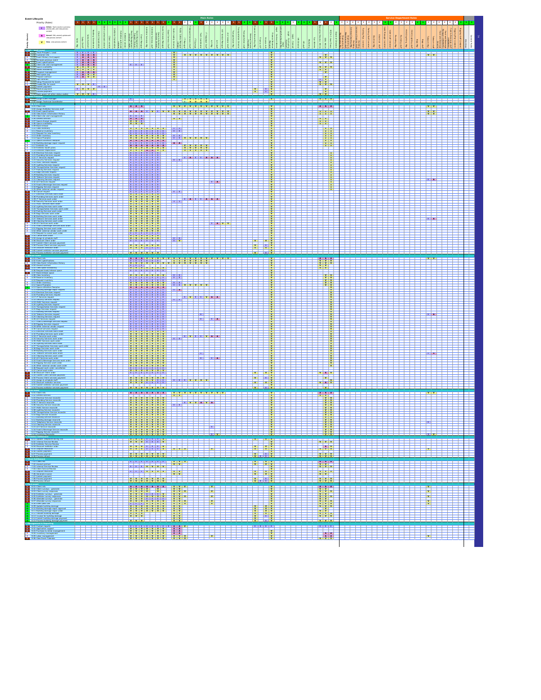| <b>Event Lifecycle</b><br>Priority (Roles)                                                                                                                                                                                                                                     |                |          |                      | $2 \t2$                                                                                                              | $2$ 2 2 2 2 2  |                                                                                          |                                                                                                                                                                                                                                                                                                                                                                                                                                                |                                                                                                                                                                                                                                                                                                                                                                                                                                   |                                      | 2 2 2 2                                  |                                                                                                                                                                                                                                 |
|--------------------------------------------------------------------------------------------------------------------------------------------------------------------------------------------------------------------------------------------------------------------------------|----------------|----------|----------------------|----------------------------------------------------------------------------------------------------------------------|----------------|------------------------------------------------------------------------------------------|------------------------------------------------------------------------------------------------------------------------------------------------------------------------------------------------------------------------------------------------------------------------------------------------------------------------------------------------------------------------------------------------------------------------------------------------|-----------------------------------------------------------------------------------------------------------------------------------------------------------------------------------------------------------------------------------------------------------------------------------------------------------------------------------------------------------------------------------------------------------------------------------|--------------------------------------|------------------------------------------|---------------------------------------------------------------------------------------------------------------------------------------------------------------------------------------------------------------------------------|
| $\begin{tabular}{ c c } \hline \textbf{I} & \textbf{Inklike - Start a task or a process} \\ \hline \end{tabular}$<br>A Amend - Edit, amend, update and                                                                                                                         |                |          |                      |                                                                                                                      |                |                                                                                          |                                                                                                                                                                                                                                                                                                                                                                                                                                                |                                                                                                                                                                                                                                                                                                                                                                                                                                   |                                      |                                          |                                                                                                                                                                                                                                 |
| $V =$ View -view process conter                                                                                                                                                                                                                                                | cordina<br>Sab |          |                      |                                                                                                                      |                |                                                                                          |                                                                                                                                                                                                                                                                                                                                                                                                                                                | $\frac{8}{3}$   8<br> ğ<br>$\frac{8}{3}$                                                                                                                                                                                                                                                                                                                                                                                          |                                      |                                          |                                                                                                                                                                                                                                 |
| Track Prospect / Lead                                                                                                                                                                                                                                                          |                |          |                      | <u>vvvvvvvvv</u>                                                                                                     |                |                                                                                          |                                                                                                                                                                                                                                                                                                                                                                                                                                                | $\frac{v}{ v }$ $\frac{v}{ v }$ $\frac{v}{ v }$                                                                                                                                                                                                                                                                                                                                                                                   |                                      |                                          | $v$ v                                                                                                                                                                                                                           |
| CL Cuvismer into<br>CL Event History (Incl pap<br>CL Re-book previous even<br>CC Event specifications                                                                                                                                                                          |                |          | كأكاكأ               |                                                                                                                      |                |                                                                                          |                                                                                                                                                                                                                                                                                                                                                                                                                                                | <b>VVV</b>                                                                                                                                                                                                                                                                                                                                                                                                                        |                                      |                                          |                                                                                                                                                                                                                                 |
| 1.05 Client site visit managem<br>1.07 Space availability<br>1.03 Notels availability<br>1.09 Proposal management<br>1.10 Notel space (iq)                                                                                                                                     |                |          |                      |                                                                                                                      |                |                                                                                          |                                                                                                                                                                                                                                                                                                                                                                                                                                                |                                                                                                                                                                                                                                                                                                                                                                                                                                   |                                      |                                          |                                                                                                                                                                                                                                 |
|                                                                                                                                                                                                                                                                                |                |          |                      |                                                                                                                      |                |                                                                                          |                                                                                                                                                                                                                                                                                                                                                                                                                                                |                                                                                                                                                                                                                                                                                                                                                                                                                                   |                                      |                                          |                                                                                                                                                                                                                                 |
| 1.11 Presence Contract<br>1.12 Sign contract<br>1.12 Sign contract<br>1.14 Create P&L for event<br>1.15 Sidemit payment<br>1.16 Receive payment<br>1.11 Process payment<br>1.11 Process payment<br>1.11 Roceive payment<br>1.11 Roceive payment                                |                |          |                      |                                                                                                                      |                | - 1                                                                                      |                                                                                                                                                                                                                                                                                                                                                                                                                                                | $\overline{\mathbf{v}}$                                                                                                                                                                                                                                                                                                                                                                                                           |                                      |                                          |                                                                                                                                                                                                                                 |
| Assign Event Manager                                                                                                                                                                                                                                                           |                |          |                      |                                                                                                                      |                |                                                                                          | <u> 1999 - Viene Antonio II</u>                                                                                                                                                                                                                                                                                                                                                                                                                | <b>THE VENEX I</b>                                                                                                                                                                                                                                                                                                                                                                                                                |                                      |                                          |                                                                                                                                                                                                                                 |
| sveni<br>11 Client info<br>2 Awign Exhibitor Serv<br>13 View Event Information<br>14 View Event Information<br>15 Client site with mana<br>17 Space change reques<br>18 Space change reques<br>18 Space swithbilly<br>10 View Inventory                                        |                |          | A A A                | <u>n a shekara ta 1971 ya kutani wa kutani wa kutani wa kutani wa kutani wa kutani wa kutani wa kutani wa kutani</u> |                |                                                                                          |                                                                                                                                                                                                                                                                                                                                                                                                                                                | AAA<br><b>MYY</b>                                                                                                                                                                                                                                                                                                                                                                                                                 |                                      |                                          | V<br>$\begin{array}{ c c c }\n\hline\nv & v \\ \hline\nv & v\n\end{array}$                                                                                                                                                      |
|                                                                                                                                                                                                                                                                                |                |          |                      |                                                                                                                      |                |                                                                                          |                                                                                                                                                                                                                                                                                                                                                                                                                                                | $\begin{array}{c c}\n\cdot & \cdot \\ \hline\n\cdot & \cdot \\ \hline\n\cdot & \cdot\n\end{array}$                                                                                                                                                                                                                                                                                                                                |                                      |                                          |                                                                                                                                                                                                                                 |
|                                                                                                                                                                                                                                                                                |                |          |                      | <u> 133 – Jan </u>                                                                                                   |                |                                                                                          |                                                                                                                                                                                                                                                                                                                                                                                                                                                |                                                                                                                                                                                                                                                                                                                                                                                                                                   |                                      |                                          |                                                                                                                                                                                                                                 |
| O View Inventory<br>1 Reserve Inventory<br>2 Request for new In<br>3 Order Inventory<br>4 Space Floorplan<br>15 Seaco utiliza                                                                                                                                                  |                |          |                      | <b>TH</b> v v v v v                                                                                                  |                |                                                                                          |                                                                                                                                                                                                                                                                                                                                                                                                                                                |                                                                                                                                                                                                                                                                                                                                                                                                                                   |                                      |                                          |                                                                                                                                                                                                                                 |
| 16 Building damage repair requ<br>17 Exhibitor list<br>3.18 Exhibiter booth plans<br>3.19 Exhibiter registration<br>3.20 Electrical Services request                                                                                                                           |                |          | <u>V V V V V V V</u> | A A V V V V V<br><b>V V V V V</b>                                                                                    |                |                                                                                          |                                                                                                                                                                                                                                                                                                                                                                                                                                                | ∣.                                                                                                                                                                                                                                                                                                                                                                                                                                |                                      |                                          |                                                                                                                                                                                                                                 |
|                                                                                                                                                                                                                                                                                |                |          |                      | <u> Halah Halah I</u><br>أصاص                                                                                        |                |                                                                                          |                                                                                                                                                                                                                                                                                                                                                                                                                                                | $\frac{1}{2}$                                                                                                                                                                                                                                                                                                                                                                                                                     |                                      |                                          |                                                                                                                                                                                                                                 |
| 30 Electrical Sarvices: regunal<br>21 Plantileig Sarvices: regunal<br>22 IT Sarvices: regunal<br>23 Security Sarvices: regunal<br>24 HWC Sarvices: regunal<br>25 Lighting Sarvices: regunal<br>27 Parking Sarvices: regunal<br>29 Bagil Sarvices: r                            |                |          | <del>.</del>         | ┷┷                                                                                                                   |                |                                                                                          |                                                                                                                                                                                                                                                                                                                                                                                                                                                | $rac{1}{\sqrt{1+\frac{1}{\sqrt{1+\frac{1}{\sqrt{1+\frac{1}{\sqrt{1+\frac{1}{\sqrt{1+\frac{1}{\sqrt{1+\frac{1}{\sqrt{1+\frac{1}{\sqrt{1+\frac{1}{\sqrt{1+\frac{1}{\sqrt{1+\frac{1}{\sqrt{1+\frac{1}{\sqrt{1+\frac{1}{\sqrt{1+\frac{1}{\sqrt{1+\frac{1}{\sqrt{1+\frac{1}{\sqrt{1+\frac{1}{\sqrt{1+\frac{1}{\sqrt{1+\frac{1}{\sqrt{1+\frac{1}{\sqrt{1+\frac{1}{\sqrt{1+\frac{1}{\sqrt{1+\frac{1}{\sqrt{1+\frac{1}{\sqrt{1+\frac{1}{$ |                                      |                                          |                                                                                                                                                                                                                                 |
|                                                                                                                                                                                                                                                                                |                |          | <u> Manaan</u>       |                                                                                                                      |                |                                                                                          |                                                                                                                                                                                                                                                                                                                                                                                                                                                |                                                                                                                                                                                                                                                                                                                                                                                                                                   |                                      |                                          | <b>IT AT</b>                                                                                                                                                                                                                    |
| 28 Bapt Services request<br>29 Bapt Services request<br>20 Datating Services request<br>21 Cataring Services request<br>21 Cataring Services request<br>23 Datati Services request<br>24 Datating Services request<br>26 Other states developed<br>26                          |                |          |                      | <b>THE PLAT</b>                                                                                                      |                |                                                                                          |                                                                                                                                                                                                                                                                                                                                                                                                                                                |                                                                                                                                                                                                                                                                                                                                                                                                                                   |                                      |                                          |                                                                                                                                                                                                                                 |
|                                                                                                                                                                                                                                                                                |                |          |                      | أكاكا<br><b>THE ALL THE ALL ALL AND</b>                                                                              |                |                                                                                          |                                                                                                                                                                                                                                                                                                                                                                                                                                                |                                                                                                                                                                                                                                                                                                                                                                                                                                   |                                      |                                          |                                                                                                                                                                                                                                 |
| 3 Security Services work order<br>1 HWAC Services work order<br>2 Lighting Services work order                                                                                                                                                                                 |                |          |                      | أستأست<br>الكاكات<br>الكات                                                                                           |                |                                                                                          | $\frac{1}{x}$                                                                                                                                                                                                                                                                                                                                                                                                                                  |                                                                                                                                                                                                                                                                                                                                                                                                                                   |                                      |                                          |                                                                                                                                                                                                                                 |
| 3 Transportation Services work<br>4 Parking Services work order<br>5 Bags Services work order                                                                                                                                                                                  |                |          |                      |                                                                                                                      |                |                                                                                          |                                                                                                                                                                                                                                                                                                                                                                                                                                                |                                                                                                                                                                                                                                                                                                                                                                                                                                   |                                      |                                          | <b>TELA</b>                                                                                                                                                                                                                     |
| - 45 Bagi Services work order<br>- 47 Telecom Services work order<br>- 47 Telecom Services work order<br>- 49 AV Services work order<br>- 49 AV Services work order<br>- 50 Food & Beverage Services work                                                                      |                |          |                      |                                                                                                                      | <b>THE AVY</b> |                                                                                          | $\frac{v}{v}$                                                                                                                                                                                                                                                                                                                                                                                                                                  |                                                                                                                                                                                                                                                                                                                                                                                                                                   |                                      |                                          |                                                                                                                                                                                                                                 |
| ) ther external vendor work orde<br>Request to cancel work order                                                                                                                                                                                                               |                |          | <u>V V V V V V V</u> |                                                                                                                      |                | $\begin{array}{c c}\n\cdot & \mathbf{v} \\ \hline\n\mathbf{v} & \mathbf{v}\n\end{array}$ |                                                                                                                                                                                                                                                                                                                                                                                                                                                |                                                                                                                                                                                                                                                                                                                                                                                                                                   |                                      |                                          |                                                                                                                                                                                                                                 |
| Cancel work order<br>Swign & schedule staff<br>Discount Client order<br>Submit Client services pa<br>Frocess Client services pa                                                                                                                                                |                |          | <u>VVVYYY</u>        | $\pm$ .                                                                                                              |                | $\mathbf{v}$<br>$\frac{1}{v}$ $\frac{v}{v}$                                              |                                                                                                                                                                                                                                                                                                                                                                                                                                                |                                                                                                                                                                                                                                                                                                                                                                                                                                   |                                      |                                          |                                                                                                                                                                                                                                 |
|                                                                                                                                                                                                                                                                                |                |          | <u>v v v v v v</u>   |                                                                                                                      |                |                                                                                          |                                                                                                                                                                                                                                                                                                                                                                                                                                                |                                                                                                                                                                                                                                                                                                                                                                                                                                   |                                      |                                          |                                                                                                                                                                                                                                 |
| Client Info<br><b>Event specification</b><br>I View Event Inform<br>I Amend contract                                                                                                                                                                                           |                |          |                      |                                                                                                                      |                |                                                                                          | $\frac{v}{v}$                                                                                                                                                                                                                                                                                                                                                                                                                                  |                                                                                                                                                                                                                                                                                                                                                                                                                                   |                                      |                                          | <b>VEW</b>                                                                                                                                                                                                                      |
| low space ave<br>topiest book/                                                                                                                                                                                                                                                 |                |          |                      | اتبو                                                                                                                 |                |                                                                                          |                                                                                                                                                                                                                                                                                                                                                                                                                                                |                                                                                                                                                                                                                                                                                                                                                                                                                                   |                                      |                                          |                                                                                                                                                                                                                                 |
| : Request book/releas<br>! View inventory<br>! View inventory<br>! Reserve inventory<br>! Request inventory<br>! Space refiliration flor<br>! Space refiliration flor                                                                                                          |                |          |                      | <b>THE V V V V V</b>                                                                                                 |                |                                                                                          |                                                                                                                                                                                                                                                                                                                                                                                                                                                | $\frac{\frac{1}{2} \times \frac{1}{2}}{\frac{1}{2} \times \frac{1}{2}}$                                                                                                                                                                                                                                                                                                                                                           |                                      |                                          |                                                                                                                                                                                                                                 |
| 3 Space utilization floorplan<br>4 Building damage repair rec<br>5 Electrical Services request<br>6 Plumbing Services request<br>7 IT Services request                                                                                                                         |                |          | <u> MANAHAN</u>      | المزمل<br>$\pm$                                                                                                      |                |                                                                                          |                                                                                                                                                                                                                                                                                                                                                                                                                                                | $rac{1}{\sqrt{1+\frac{1}{\sqrt{1+\frac{1}{\sqrt{1+\frac{1}{\sqrt{1+\frac{1}{\sqrt{1+\frac{1}{\sqrt{1+\frac{1}{\sqrt{1+\frac{1}{\sqrt{1+\frac{1}{\sqrt{1+\frac{1}{\sqrt{1+\frac{1}{\sqrt{1+\frac{1}{\sqrt{1+\frac{1}{\sqrt{1+\frac{1}{\sqrt{1+\frac{1}{\sqrt{1+\frac{1}{\sqrt{1+\frac{1}{\sqrt{1+\frac{1}{\sqrt{1+\frac{1}{\sqrt{1+\frac{1}{\sqrt{1+\frac{1}{\sqrt{1+\frac{1}{\sqrt{1+\frac{1}{\sqrt{1+\frac{1}{\sqrt{1+\frac{1}{$ |                                      |                                          |                                                                                                                                                                                                                                 |
| 4.18 Security Services request<br>4.19 HWAC Services request<br>4.20 Lighting Services request                                                                                                                                                                                 |                |          |                      | <b>THE VEHICLE VEHICLE</b><br><del>Ja</del> ng<br>أكأكأكأك                                                           |                |                                                                                          |                                                                                                                                                                                                                                                                                                                                                                                                                                                |                                                                                                                                                                                                                                                                                                                                                                                                                                   |                                      |                                          |                                                                                                                                                                                                                                 |
| 1 Transportation Services reque<br>2 Bags Services request<br>3 Building Services request                                                                                                                                                                                      |                |          |                      | ╪                                                                                                                    |                |                                                                                          |                                                                                                                                                                                                                                                                                                                                                                                                                                                |                                                                                                                                                                                                                                                                                                                                                                                                                                   |                                      |                                          | I A                                                                                                                                                                                                                             |
| 4.23 Building Services request<br>$4.23$ Examples Services request<br>$4.25$ Castring Services request<br>$4.26$ AV Services request<br>$4.27$ Food & Beverage Services request<br>$4.27$ Ringley Services request<br>$4.20$ Cancel services re                                |                |          |                      | $\frac{1}{2}$ and $\frac{1}{2}$ and $\frac{1}{2}$                                                                    |                |                                                                                          |                                                                                                                                                                                                                                                                                                                                                                                                                                                |                                                                                                                                                                                                                                                                                                                                                                                                                                   |                                      |                                          |                                                                                                                                                                                                                                 |
|                                                                                                                                                                                                                                                                                |                |          |                      |                                                                                                                      |                |                                                                                          |                                                                                                                                                                                                                                                                                                                                                                                                                                                |                                                                                                                                                                                                                                                                                                                                                                                                                                   |                                      |                                          |                                                                                                                                                                                                                                 |
| 11 Electrical Sarvices work order<br>12 Fluchtail Sarvices work order<br>12 Fluchtain Services work order<br>14 Seaurily Services work order<br>15 HWL Seaving Services work order<br>16 HWL Seaving Services work order<br>17 Transpectation Se                               |                |          |                      | <del>┆┪┪┪┙</del> ═┥┙┥┷╇┥                                                                                             |                |                                                                                          | $\frac{v}{v}$                                                                                                                                                                                                                                                                                                                                                                                                                                  |                                                                                                                                                                                                                                                                                                                                                                                                                                   |                                      |                                          |                                                                                                                                                                                                                                 |
|                                                                                                                                                                                                                                                                                |                |          |                      | ш                                                                                                                    |                |                                                                                          |                                                                                                                                                                                                                                                                                                                                                                                                                                                | $\frac{1}{\frac{1}{\sqrt{1+\frac{1}{\sqrt{1+\frac{1}{\sqrt{1+\frac{1}{\sqrt{1+\frac{1}{\sqrt{1+\frac{1}{\sqrt{1+\frac{1}{\sqrt{1+\frac{1}{\sqrt{1+\frac{1}{\sqrt{1+\frac{1}{\sqrt{1+\frac{1}{\sqrt{1+\frac{1}{\sqrt{1+\frac{1}{\sqrt{1+\frac{1}{\sqrt{1+\frac{1}{\sqrt{1+\frac{1}{\sqrt{1+\frac{1}{\sqrt{1+\frac{1}{\sqrt{1+\frac{1}{\sqrt{1+\frac{1}{\sqrt{1+\frac{1}{\sqrt{1+\frac{1}{\sqrt{1+\frac{1}{\sqrt{1+\frac{1}{\sqrt{$ |                                      |                                          | $\overline{A}$                                                                                                                                                                                                                  |
| 41 Food & Bey<br>erage Services work o                                                                                                                                                                                                                                         |                |          |                      | طط                                                                                                                   | ⋽┽╪            |                                                                                          | $\frac{v}{v}$                                                                                                                                                                                                                                                                                                                                                                                                                                  | $\frac{v}{v}$                                                                                                                                                                                                                                                                                                                                                                                                                     |                                      |                                          |                                                                                                                                                                                                                                 |
| Rigging Services work order<br>Other external vendor work orde<br>: Request work order cancellat<br>* Cancel work order<br>1 Discount Client order                                                                                                                             |                |          | <u>Y Y Y Y Y Y Y</u> |                                                                                                                      |                | $\frac{v}{v}$<br>$\overline{\mathbf{v}}$                                                 |                                                                                                                                                                                                                                                                                                                                                                                                                                                | V A V                                                                                                                                                                                                                                                                                                                                                                                                                             |                                      |                                          |                                                                                                                                                                                                                                 |
| Kabmit Client services paym<br>Incoess Client services paym<br>Issign & schedule staff                                                                                                                                                                                         |                |          |                      | <u>VVVVII III III III II</u>                                                                                         |                | $\mathbf{v}$<br>$\frac{1}{x}$<br>$\mathbf{v}$                                            | $\frac{1}{\sqrt{2}}$                                                                                                                                                                                                                                                                                                                                                                                                                           | <u>v v</u>                                                                                                                                                                                                                                                                                                                                                                                                                        |                                      |                                          |                                                                                                                                                                                                                                 |
|                                                                                                                                                                                                                                                                                |                |          |                      |                                                                                                                      |                |                                                                                          |                                                                                                                                                                                                                                                                                                                                                                                                                                                |                                                                                                                                                                                                                                                                                                                                                                                                                                   |                                      |                                          |                                                                                                                                                                                                                                 |
| 5.01 Client info<br>5.02 Amend contract<br>÷<br><b>Electrical Ser</b><br>5.04 Plumbing Service re                                                                                                                                                                              |                |          | $\frac{1}{2}$        | <u> AAAAAAA YYYYYYYYYY</u>                                                                                           |                |                                                                                          | $\frac{v}{v}$                                                                                                                                                                                                                                                                                                                                                                                                                                  | $\begin{array}{c c c c c} \hline \bullet & \bullet & \bullet & \bullet \\ \hline \bullet & \bullet & \bullet & \bullet \\ \hline \bullet & \bullet & \bullet & \bullet \\ \hline \bullet & \bullet & \bullet & \bullet \\ \hline \bullet & \bullet & \bullet & \bullet \end{array}$                                                                                                                                               |                                      |                                          |                                                                                                                                                                                                                                 |
|                                                                                                                                                                                                                                                                                |                |          |                      | <u> Transforma</u>                                                                                                   |                |                                                                                          |                                                                                                                                                                                                                                                                                                                                                                                                                                                |                                                                                                                                                                                                                                                                                                                                                                                                                                   |                                      |                                          |                                                                                                                                                                                                                                 |
|                                                                                                                                                                                                                                                                                |                |          |                      |                                                                                                                      | ---            |                                                                                          |                                                                                                                                                                                                                                                                                                                                                                                                                                                |                                                                                                                                                                                                                                                                                                                                                                                                                                   |                                      |                                          | —⊢                                                                                                                                                                                                                              |
|                                                                                                                                                                                                                                                                                |                | 12222222 |                      |                                                                                                                      | T.             | ŧ<br><u> 1 1 V II</u>                                                                    |                                                                                                                                                                                                                                                                                                                                                                                                                                                |                                                                                                                                                                                                                                                                                                                                                                                                                                   | <u> 1730 </u><br>والمساوات المسامسات | والمساحي المساحين المساحي                | Ħ<br>$\overline{\phantom{a}}$                                                                                                                                                                                                   |
| $\begin{tabular}{ c c c c } \hline 1 & 0.0 & 0.00 & 0.00 & 0.00 & 0.00 & 0.00 & 0.00 & 0.00 & 0.00 & 0.00 & 0.00 & 0.00 & 0.00 & 0.00 & 0.00 & 0.00 & 0.00 & 0.00 & 0.00 & 0.00 & 0.00 & 0.00 & 0.00 & 0.00 & 0.00 & 0.00 & 0.00 & 0.00 & 0.00 & 0.00 & 0.00 & 0.00 & 0.00 & $ |                |          |                      |                                                                                                                      |                |                                                                                          |                                                                                                                                                                                                                                                                                                                                                                                                                                                |                                                                                                                                                                                                                                                                                                                                                                                                                                   |                                      |                                          |                                                                                                                                                                                                                                 |
|                                                                                                                                                                                                                                                                                |                |          |                      |                                                                                                                      |                |                                                                                          |                                                                                                                                                                                                                                                                                                                                                                                                                                                |                                                                                                                                                                                                                                                                                                                                                                                                                                   |                                      |                                          | त्र संस्कृति । अन्ति । अन्ति । अन्ति । अन्ति । अन्ति । अन्ति । अन्ति । अन्ति । अन्ति । अन्ति । अन्ति । अन्ति ।<br>अन्ति । अन्ति । अन्ति । अन्ति । अन्ति । अन्ति । अन्ति । अन्ति । अन्ति । अन्ति । अन्ति । अन्ति । अन्ति । अन्ति |
|                                                                                                                                                                                                                                                                                |                |          |                      | 22 Z Z                                                                                                               |                | $\frac{v}{v}$ $\frac{v}{v}$                                                              |                                                                                                                                                                                                                                                                                                                                                                                                                                                | $\begin{array}{c c c c c} \hline \textbf{v} & \textbf{v} & \textbf{v} \\ \hline \textbf{v} & \textbf{v} & \textbf{v} \end{array}$                                                                                                                                                                                                                                                                                                 |                                      |                                          |                                                                                                                                                                                                                                 |
| 1 7.01 Client etc.<br>1 7.01 Client etc.<br>2 7.02 Amend contract.<br>2 7.03 Leternal Service Review<br>2 7.04 Client Service Review                                                                                                                                           |                |          |                      | –∟                                                                                                                   | -----------    | ш.                                                                                       | العاصاصات                                                                                                                                                                                                                                                                                                                                                                                                                                      | $\frac{1}{\sqrt{2}}$<br>$\frac{V}{V}$ $\frac{V}{V}$                                                                                                                                                                                                                                                                                                                                                                               | <b>TERR</b><br>الأنجاح احزحر         |                                          | I<br>_____                                                                                                                                                                                                                      |
| 7.05 Dispute resolution<br>7.05 Generate invoice<br>7.07 Submit payment<br>7.08 Process payment<br>7.09 Process refund                                                                                                                                                         |                |          |                      |                                                                                                                      |                | $\frac{1}{x}$<br>$\frac{v}{v}$                                                           |                                                                                                                                                                                                                                                                                                                                                                                                                                                | <b>v</b> v v                                                                                                                                                                                                                                                                                                                                                                                                                      |                                      |                                          |                                                                                                                                                                                                                                 |
| 0.01 Client Info<br>2 Client surveys - generate<br>0 Client survey responses<br>14 Exhibitor surveys - generate<br>5 Exhibitor surveys - generate<br>16 Alfendee surveys - generate                                                                                            |                |          |                      |                                                                                                                      |                |                                                                                          |                                                                                                                                                                                                                                                                                                                                                                                                                                                |                                                                                                                                                                                                                                                                                                                                                                                                                                   | الأكاكاك كالكاكاة                    | <u> 1905 - Alian Angel III (m. 1986)</u> | $\mathbf{v}$                                                                                                                                                                                                                    |
| 7 Attendee survey r                                                                                                                                                                                                                                                            |                |          |                      |                                                                                                                      |                |                                                                                          |                                                                                                                                                                                                                                                                                                                                                                                                                                                |                                                                                                                                                                                                                                                                                                                                                                                                                                   | 155555<br>155555                     |                                          | $\overline{\mathbf{v}}$<br>$\frac{v}{v}$                                                                                                                                                                                        |
| LGB Event post-con<br>LG9 Update building damage<br>8.10 Building damage repair approva<br>8.11 Building damage repair order<br>8.12 Valuate building damage                                                                                                                   |                |          |                      |                                                                                                                      |                |                                                                                          | $\begin{array}{c c}\n\sqrt{3} & \sqrt{6} \\ \hline\n\sqrt{3} & \sqrt{6} \\ \hline\n\sqrt{3} & \sqrt{6} \\ \hline\n\sqrt{3} & \sqrt{6} \\ \hline\n\sqrt{3} & \sqrt{6} \\ \hline\n\sqrt{3} & \sqrt{6} \\ \hline\n\sqrt{3} & \sqrt{6} \\ \hline\n\sqrt{3} & \sqrt{6} \\ \hline\n\sqrt{3} & \sqrt{6} \\ \hline\n\sqrt{3} & \sqrt{6} \\ \hline\n\sqrt{3} & \sqrt{6} \\ \hline\n\sqrt{3} & \sqrt{6} \\ \hline\n\sqrt{3} & \sqrt{6} \\ \hline\n\sqrt$ |                                                                                                                                                                                                                                                                                                                                                                                                                                   | 1222221                              |                                          |                                                                                                                                                                                                                                 |
| 1 Invoice for building damage<br>4 Submit building damage pays<br>5 Process building damage pay                                                                                                                                                                                |                |          |                      |                                                                                                                      |                | $\frac{1}{\sqrt{2}}$                                                                     |                                                                                                                                                                                                                                                                                                                                                                                                                                                | $\begin{array}{c c c}\n\cdot & \cdot & \cdot & \cdot & \cdot \\ \hline\n\cdot & \cdot & \cdot & \cdot & \cdot \\ \hline\n\cdot & \cdot & \cdot & \cdot & \cdot \\ \hline\n\cdot & \cdot & \cdot & \cdot & \cdot\n\end{array}$                                                                                                                                                                                                     |                                      |                                          |                                                                                                                                                                                                                                 |
| 1 Custom reports<br>2 Application support<br>3 Purchase & rental m<br>6 Inventory managements                                                                                                                                                                                  |                |          |                      |                                                                                                                      |                |                                                                                          |                                                                                                                                                                                                                                                                                                                                                                                                                                                |                                                                                                                                                                                                                                                                                                                                                                                                                                   |                                      |                                          | n de la component de la componentación de la componentación de la componentación de la componentación de la co<br>A la componentación de la componentación de la componentación de la componentación de la componentación de la |
|                                                                                                                                                                                                                                                                                |                |          |                      |                                                                                                                      |                |                                                                                          |                                                                                                                                                                                                                                                                                                                                                                                                                                                |                                                                                                                                                                                                                                                                                                                                                                                                                                   |                                      |                                          |                                                                                                                                                                                                                                 |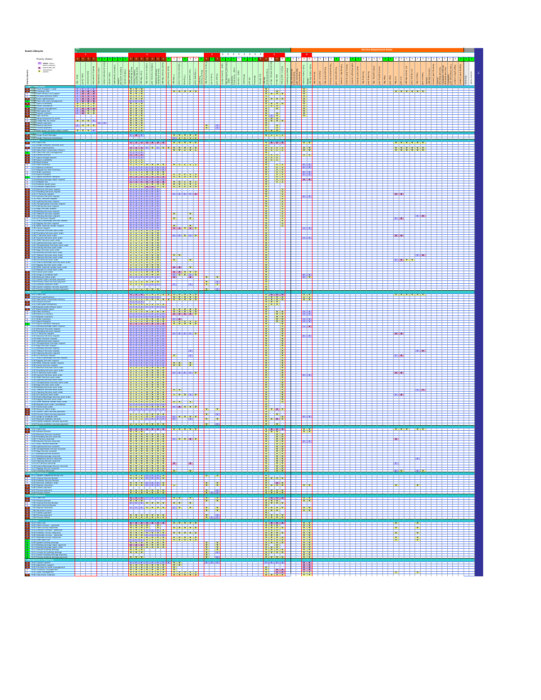| Event Lifecyck                                                                                                                                                                                                                                                                                                                                                                                            |                                                                                                                                                                                                                                                                                                                                                                                                                                   |                                                                      | 1 2 2 2 2 2 2 2 2 1                                                                                                                                                                                                                                                                                                                                    |                                                                                                                                                                         | $-2$                                                                                              |                     |                                                                                                                   |
|-----------------------------------------------------------------------------------------------------------------------------------------------------------------------------------------------------------------------------------------------------------------------------------------------------------------------------------------------------------------------------------------------------------|-----------------------------------------------------------------------------------------------------------------------------------------------------------------------------------------------------------------------------------------------------------------------------------------------------------------------------------------------------------------------------------------------------------------------------------|----------------------------------------------------------------------|--------------------------------------------------------------------------------------------------------------------------------------------------------------------------------------------------------------------------------------------------------------------------------------------------------------------------------------------------------|-------------------------------------------------------------------------------------------------------------------------------------------------------------------------|---------------------------------------------------------------------------------------------------|---------------------|-------------------------------------------------------------------------------------------------------------------|
| Priority (Roles)                                                                                                                                                                                                                                                                                                                                                                                          | 111111111                                                                                                                                                                                                                                                                                                                                                                                                                         | .                                                                    | $\vert$ 2 $\vert$ 2 $\vert$                                                                                                                                                                                                                                                                                                                            |                                                                                                                                                                         |                                                                                                   |                     |                                                                                                                   |
| $\begin{tabular}{ c c } \hline \textbf{I} & \textbf{Indistance-Start1} \\ \hline \textbf{taskar1 process}; \\ \hline \textbf{A} & \textbf{anset, ed1, and} \\ \hline \textbf{V} & \textbf{vivwprocess} \\ \hline \textbf{V} & \textbf{content} \\ \hline \end{tabular}$                                                                                                                                   |                                                                                                                                                                                                                                                                                                                                                                                                                                   |                                                                      |                                                                                                                                                                                                                                                                                                                                                        |                                                                                                                                                                         |                                                                                                   |                     |                                                                                                                   |
|                                                                                                                                                                                                                                                                                                                                                                                                           |                                                                                                                                                                                                                                                                                                                                                                                                                                   |                                                                      |                                                                                                                                                                                                                                                                                                                                                        |                                                                                                                                                                         |                                                                                                   |                     |                                                                                                                   |
|                                                                                                                                                                                                                                                                                                                                                                                                           |                                                                                                                                                                                                                                                                                                                                                                                                                                   |                                                                      |                                                                                                                                                                                                                                                                                                                                                        |                                                                                                                                                                         |                                                                                                   |                     |                                                                                                                   |
| 1.01 Track Prospect / Lead                                                                                                                                                                                                                                                                                                                                                                                |                                                                                                                                                                                                                                                                                                                                                                                                                                   |                                                                      | v v v v v                                                                                                                                                                                                                                                                                                                                              | $\begin{array}{c c c c} \mathbf{v} & \mathbf{v} & \mathbf{v} \\ \hline \mathbf{v} & \mathbf{v} & \mathbf{v} & \mathbf{v} \end{array}$                                   | ÷                                                                                                 |                     | <b>VVVVVVV</b>                                                                                                    |
|                                                                                                                                                                                                                                                                                                                                                                                                           |                                                                                                                                                                                                                                                                                                                                                                                                                                   |                                                                      | الكاركات                                                                                                                                                                                                                                                                                                                                               |                                                                                                                                                                         |                                                                                                   |                     | ⊐                                                                                                                 |
|                                                                                                                                                                                                                                                                                                                                                                                                           |                                                                                                                                                                                                                                                                                                                                                                                                                                   |                                                                      |                                                                                                                                                                                                                                                                                                                                                        | $\begin{array}{ c c c c c }\hline v&v&v&v\\ \hline v&v&v&v\\ \hline v&v&v&v\\ \hline \end{array}$                                                                       |                                                                                                   |                     |                                                                                                                   |
|                                                                                                                                                                                                                                                                                                                                                                                                           |                                                                                                                                                                                                                                                                                                                                                                                                                                   |                                                                      |                                                                                                                                                                                                                                                                                                                                                        | v                                                                                                                                                                       |                                                                                                   |                     |                                                                                                                   |
| 1.09 Proposal management<br>1.10 Hold space (ig)<br>1.11 Prepare contract<br>1.12 Sign contract<br>1.13 Setup Financials<br>1.14 Creative management                                                                                                                                                                                                                                                      | $\frac{1}{\sqrt{1-\frac{1}{\sqrt{1-\frac{1}{\sqrt{1-\frac{1}{\sqrt{1-\frac{1}{\sqrt{1-\frac{1}{\sqrt{1-\frac{1}{\sqrt{1-\frac{1}{\sqrt{1-\frac{1}{\sqrt{1-\frac{1}{\sqrt{1-\frac{1}{\sqrt{1-\frac{1}{\sqrt{1-\frac{1}{\sqrt{1-\frac{1}{\sqrt{1-\frac{1}{\sqrt{1-\frac{1}{\sqrt{1-\frac{1}{\sqrt{1-\frac{1}{\sqrt{1-\frac{1}{\sqrt{1-\frac{1}{\sqrt{1-\frac{1}{\sqrt{1-\frac{1}{\sqrt{1-\frac{1}{\sqrt{1-\frac{1}{\sqrt{1-\frac{1$ |                                                                      |                                                                                                                                                                                                                                                                                                                                                        |                                                                                                                                                                         |                                                                                                   |                     |                                                                                                                   |
| amit paymee<br>asiyo payme                                                                                                                                                                                                                                                                                                                                                                                | <b>TVVV</b>                                                                                                                                                                                                                                                                                                                                                                                                                       | 고고                                                                   |                                                                                                                                                                                                                                                                                                                                                        | $\frac{v}{v}$<br>$\frac{1}{\sqrt{2}}$                                                                                                                                   |                                                                                                   |                     |                                                                                                                   |
| 1.18 Book space (all oth                                                                                                                                                                                                                                                                                                                                                                                  | v v v m                                                                                                                                                                                                                                                                                                                                                                                                                           |                                                                      | $rac{v}{v}$<br>÷                                                                                                                                                                                                                                                                                                                                       |                                                                                                                                                                         |                                                                                                   |                     |                                                                                                                   |
| 2.01 Awign Event Manager<br>2.02 Awign Technical Coor                                                                                                                                                                                                                                                                                                                                                     |                                                                                                                                                                                                                                                                                                                                                                                                                                   | ▅▅▅▅ <mark>▅▅▅▅▅</mark> ▅▅▅▊▅ <u>▅▗</u> ▗▅▅▅▅▅▕▚▚▚▚▚ <del>▚▞</del> ▅ | <u> 2002 - 2003 - 100 - 100 - 100 - 100 - 100 - 100 - 100 - 100 - 100 - 100 - 100 - 100 - 100 - 100 - 100 - 100 - 100 - 100 - 100 - 100 - 100 - 100 - 100 - 100 - 100 - 100 - 100 - 100 - 100 - 100 - 100 - 100 - 100 - 100 - 10</u>                                                                                                                   |                                                                                                                                                                         | 99 P.S                                                                                            |                     |                                                                                                                   |
| Client Info                                                                                                                                                                                                                                                                                                                                                                                               | –⊦                                                                                                                                                                                                                                                                                                                                                                                                                                | <u>a bahasi sebagaan a</u>                                           | <b>VIVIVIV</b>                                                                                                                                                                                                                                                                                                                                         | $\sqrt{A A A}$                                                                                                                                                          | $V$ $V$                                                                                           |                     | <b>IV V V V V V V</b>                                                                                             |
| 12 Assign Exhibitor Services sta<br>13 Event specifications<br>14 View Event Information Hist                                                                                                                                                                                                                                                                                                             |                                                                                                                                                                                                                                                                                                                                                                                                                                   |                                                                      |                                                                                                                                                                                                                                                                                                                                                        | $\begin{array}{c c c c} \mathsf{v} & \mathsf{v} & \mathsf{v} \\ \hline \mathsf{v} & \mathsf{v} & \mathsf{v} \\ \hline \mathsf{v} & \mathsf{v} & \mathsf{v} \end{array}$ | $\frac{V}{V}$                                                                                     |                     | VVVVVV                                                                                                            |
| Client site visit ma<br>Amend contract<br>Space change requ                                                                                                                                                                                                                                                                                                                                               |                                                                                                                                                                                                                                                                                                                                                                                                                                   | eee                                                                  | 5335                                                                                                                                                                                                                                                                                                                                                   |                                                                                                                                                                         | $v$ $v$                                                                                           |                     |                                                                                                                   |
|                                                                                                                                                                                                                                                                                                                                                                                                           |                                                                                                                                                                                                                                                                                                                                                                                                                                   | <u>x x x x x x x</u>                                                 | <b>V</b> v v v v                                                                                                                                                                                                                                                                                                                                       |                                                                                                                                                                         | <u>HH</u>                                                                                         |                     |                                                                                                                   |
| 07 Space charge request<br>08 Space availability<br>09 Book/velaxes<br>10 Venv incoming<br>11 Space inventory<br>11 Separator inventory<br>12 Deparator inventory<br>14 Space of intention floorpian<br>15 Space of intention floorpian<br>17 Ea                                                                                                                                                          |                                                                                                                                                                                                                                                                                                                                                                                                                                   |                                                                      |                                                                                                                                                                                                                                                                                                                                                        |                                                                                                                                                                         | Æ۵                                                                                                |                     |                                                                                                                   |
|                                                                                                                                                                                                                                                                                                                                                                                                           |                                                                                                                                                                                                                                                                                                                                                                                                                                   |                                                                      | $\frac{v}{v}$ $\frac{v}{v}$ $\frac{v}{v}$ $\frac{v}{v}$ $\frac{v}{v}$                                                                                                                                                                                                                                                                                  |                                                                                                                                                                         | A A                                                                                               |                     |                                                                                                                   |
|                                                                                                                                                                                                                                                                                                                                                                                                           |                                                                                                                                                                                                                                                                                                                                                                                                                                   | <b>ATTALLAR</b>                                                      | 122222                                                                                                                                                                                                                                                                                                                                                 |                                                                                                                                                                         |                                                                                                   |                     |                                                                                                                   |
| 19 Exhibiter registration<br>20 Electrical Services request<br>21 Plumbing Services request<br>22 IT Services request<br>22 Security Services request                                                                                                                                                                                                                                                     |                                                                                                                                                                                                                                                                                                                                                                                                                                   |                                                                      | si sinanan                                                                                                                                                                                                                                                                                                                                             |                                                                                                                                                                         |                                                                                                   |                     | AA                                                                                                                |
| <b>HVAC Services rea</b><br>Lighting Services request                                                                                                                                                                                                                                                                                                                                                     |                                                                                                                                                                                                                                                                                                                                                                                                                                   |                                                                      |                                                                                                                                                                                                                                                                                                                                                        |                                                                                                                                                                         | $\overline{1}$                                                                                    |                     |                                                                                                                   |
| 7. Parking Services request<br>8. Bags Services request<br>9. Building Services request                                                                                                                                                                                                                                                                                                                   |                                                                                                                                                                                                                                                                                                                                                                                                                                   |                                                                      |                                                                                                                                                                                                                                                                                                                                                        |                                                                                                                                                                         |                                                                                                   |                     |                                                                                                                   |
|                                                                                                                                                                                                                                                                                                                                                                                                           |                                                                                                                                                                                                                                                                                                                                                                                                                                   |                                                                      | $\overline{\mathbf{v}}$<br>$\overline{\mathbf{v}}$                                                                                                                                                                                                                                                                                                     |                                                                                                                                                                         |                                                                                                   |                     | <b>TA</b>                                                                                                         |
|                                                                                                                                                                                                                                                                                                                                                                                                           |                                                                                                                                                                                                                                                                                                                                                                                                                                   |                                                                      | $\overline{\phantom{a}}$<br>$\overline{\mathbf{v}}$                                                                                                                                                                                                                                                                                                    |                                                                                                                                                                         |                                                                                                   |                     | $\overline{1}$ $\overline{1}$ $\overline{1}$ $\overline{1}$ $\overline{1}$<br>⇉                                   |
| 3.29 Building Sarvices request<br>3.20 Telescom Services request<br>3.31 Clearring Services request<br>3.23 AV Services request<br>3.23 AV Services request<br>3.23 AV Services request<br>3.35 Clear external versior request<br>3.36 Clear                                                                                                                                                              |                                                                                                                                                                                                                                                                                                                                                                                                                                   | $\frac{1}{x}$                                                        | $\frac{1}{x}$ , $\frac{1}{x}$ , $\frac{1}{x}$                                                                                                                                                                                                                                                                                                          |                                                                                                                                                                         | <b>THE R</b>                                                                                      |                     |                                                                                                                   |
|                                                                                                                                                                                                                                                                                                                                                                                                           |                                                                                                                                                                                                                                                                                                                                                                                                                                   |                                                                      | <b>THE VEH V</b>                                                                                                                                                                                                                                                                                                                                       |                                                                                                                                                                         | $\overline{1}$                                                                                    |                     | AA                                                                                                                |
| r som an american work order<br>19 Flumbing Services work order<br>19 Flumbing Services work order<br>19 MAC Services work order<br>2 Lighting Services work order<br>1 Tramportation Services work order                                                                                                                                                                                                 |                                                                                                                                                                                                                                                                                                                                                                                                                                   |                                                                      | واصاصاصا                                                                                                                                                                                                                                                                                                                                               |                                                                                                                                                                         |                                                                                                   |                     | ┱                                                                                                                 |
|                                                                                                                                                                                                                                                                                                                                                                                                           |                                                                                                                                                                                                                                                                                                                                                                                                                                   |                                                                      |                                                                                                                                                                                                                                                                                                                                                        |                                                                                                                                                                         |                                                                                                   |                     |                                                                                                                   |
| <b>Parking Services work order<br/>Bags Services work order<br/>Building Services work order<br/>Telecom Services work order<br/>Clearing Services work order</b>                                                                                                                                                                                                                                         |                                                                                                                                                                                                                                                                                                                                                                                                                                   |                                                                      | <b>v</b> v                                                                                                                                                                                                                                                                                                                                             |                                                                                                                                                                         |                                                                                                   |                     | $\overline{\mathbf{F}}$ $\mathbf{A}$                                                                              |
| 48 Chaining Sarvices were erost<br>49 A/V Services work order<br>50 Food & Beverage Services work order<br>51 Rigging Services work order<br>52 Request to cancel work order<br>54 Cancel work order<br>54 Cancel work order                                                                                                                                                                              |                                                                                                                                                                                                                                                                                                                                                                                                                                   |                                                                      | $\mathbf{v}$ $\mathbf{v}$                                                                                                                                                                                                                                                                                                                              |                                                                                                                                                                         |                                                                                                   |                     | <b>IAV</b>                                                                                                        |
|                                                                                                                                                                                                                                                                                                                                                                                                           |                                                                                                                                                                                                                                                                                                                                                                                                                                   |                                                                      | AA<br>$\overline{\mathbf{v}}$                                                                                                                                                                                                                                                                                                                          |                                                                                                                                                                         |                                                                                                   |                     |                                                                                                                   |
| Assign & schedule staff<br>Discount Client order<br>Submit Client services paym                                                                                                                                                                                                                                                                                                                           |                                                                                                                                                                                                                                                                                                                                                                                                                                   |                                                                      | $\begin{array}{ c c c c c }\hline & A & A & V & V & V \\ \hline & I & V & V & I & V \\ \hline & A & & & A & \end{array}$<br>$\overline{\mathbf{v}}$<br>⊻                                                                                                                                                                                               |                                                                                                                                                                         | $\pm$ $\frac{1}{\mathbf{v}}$                                                                      |                     |                                                                                                                   |
| rocess Client services paym                                                                                                                                                                                                                                                                                                                                                                               |                                                                                                                                                                                                                                                                                                                                                                                                                                   | <u>Malia di Walio</u>                                                | 荨<br>⊹<br>$\frac{v}{v}$<br>Ħ                                                                                                                                                                                                                                                                                                                           |                                                                                                                                                                         |                                                                                                   |                     |                                                                                                                   |
| 01 Client Info                                                                                                                                                                                                                                                                                                                                                                                            |                                                                                                                                                                                                                                                                                                                                                                                                                                   |                                                                      |                                                                                                                                                                                                                                                                                                                                                        |                                                                                                                                                                         | $V$ $V$                                                                                           |                     | <b>IVEVENTY IVEN</b>                                                                                              |
| 4.01 Client into<br>Example and the state of the state of the Control of the Control<br>4.04 Arnord contract<br>4.04 Arnord contract<br>4.05 Yeav space and<br>4.05 Repared book/release space<br>4.07 Restrictions space<br>4.07 Restrict into the                                                                                                                                                       |                                                                                                                                                                                                                                                                                                                                                                                                                                   |                                                                      |                                                                                                                                                                                                                                                                                                                                                        | VAAA<br>VVVV                                                                                                                                                            | $\frac{x}{v}$ $\frac{v}{v}$                                                                       |                     |                                                                                                                   |
| a,                                                                                                                                                                                                                                                                                                                                                                                                        |                                                                                                                                                                                                                                                                                                                                                                                                                                   | <u>x x x x x x x </u>                                                | <u> 1999 - 1999 - 1999 - 1999 - 1999 - 1999 - 1999 - 1999 - 1999 - 1999 - 1999 - 1999 - 1999 - 1999 - 1999 - 199</u><br>v v v v v                                                                                                                                                                                                                      |                                                                                                                                                                         |                                                                                                   |                     |                                                                                                                   |
|                                                                                                                                                                                                                                                                                                                                                                                                           |                                                                                                                                                                                                                                                                                                                                                                                                                                   | <u> Tristan di Santan</u>                                            | A A A A V                                                                                                                                                                                                                                                                                                                                              | $\frac{v}{v}$                                                                                                                                                           | ٣F                                                                                                |                     |                                                                                                                   |
| 4.11 Order Inventory<br>4.12 Space Floorplan                                                                                                                                                                                                                                                                                                                                                              |                                                                                                                                                                                                                                                                                                                                                                                                                                   |                                                                      | $\begin{array}{c c c c c c} \hline \textbf{1} & \textbf{A} & & & \\ \hline \textbf{V} & \textbf{V} & \textbf{V} & \textbf{V} & \textbf{V} \\ \hline \textbf{V} & \textbf{V} & \textbf{V} & \textbf{V} & \textbf{V} \end{array}$                                                                                                                        | $\frac{v}{v}$                                                                                                                                                           | F                                                                                                 |                     |                                                                                                                   |
| 2 Januar utilization floorpion<br>1 Studing durings repair region<br>5 Silochical Services regiant<br>1 Studing Services regiant<br>6 Plambing Services regiant<br>1 Studing Services regiant<br>10 Liphing Services regiant<br>10 Liphing Services                                                                                                                                                       |                                                                                                                                                                                                                                                                                                                                                                                                                                   |                                                                      |                                                                                                                                                                                                                                                                                                                                                        |                                                                                                                                                                         | $\overline{1}$ a                                                                                  |                     |                                                                                                                   |
|                                                                                                                                                                                                                                                                                                                                                                                                           |                                                                                                                                                                                                                                                                                                                                                                                                                                   |                                                                      | <u>in in in in in</u>                                                                                                                                                                                                                                                                                                                                  |                                                                                                                                                                         | $\overline{\phantom{a}}$                                                                          |                     | AA                                                                                                                |
|                                                                                                                                                                                                                                                                                                                                                                                                           |                                                                                                                                                                                                                                                                                                                                                                                                                                   |                                                                      | <b>Research</b>                                                                                                                                                                                                                                                                                                                                        |                                                                                                                                                                         |                                                                                                   |                     |                                                                                                                   |
| : Bags Services request<br>! Building Services requ<br>! Telecom Services req                                                                                                                                                                                                                                                                                                                             |                                                                                                                                                                                                                                                                                                                                                                                                                                   |                                                                      | ═╪═╪╤                                                                                                                                                                                                                                                                                                                                                  |                                                                                                                                                                         |                                                                                                   |                     | $\overline{1}$ $\overline{1}$ $\overline{4}$                                                                      |
| Clearing Services re<br>Food & Be<br>non Ser                                                                                                                                                                                                                                                                                                                                                              |                                                                                                                                                                                                                                                                                                                                                                                                                                   |                                                                      | است<br>−                                                                                                                                                                                                                                                                                                                                               |                                                                                                                                                                         |                                                                                                   |                     | <b>TELA</b>                                                                                                       |
| Rigging Services request<br>Other external vendor rec                                                                                                                                                                                                                                                                                                                                                     |                                                                                                                                                                                                                                                                                                                                                                                                                                   |                                                                      |                                                                                                                                                                                                                                                                                                                                                        |                                                                                                                                                                         |                                                                                                   |                     |                                                                                                                   |
| 4.30 Cancel services request<br>4.31 Electrical Services work<br>4.32 Plumbing Services work                                                                                                                                                                                                                                                                                                              |                                                                                                                                                                                                                                                                                                                                                                                                                                   |                                                                      |                                                                                                                                                                                                                                                                                                                                                        |                                                                                                                                                                         |                                                                                                   |                     |                                                                                                                   |
| 11 Services work order<br>1 Security Services work on<br>1 MWC Services work order                                                                                                                                                                                                                                                                                                                        |                                                                                                                                                                                                                                                                                                                                                                                                                                   |                                                                      | <b>TELEVISION</b><br>∓+                                                                                                                                                                                                                                                                                                                                |                                                                                                                                                                         | त्तव                                                                                              |                     | AA                                                                                                                |
| 5 Lighting Services work orde<br>7 Tramsportation Services wo                                                                                                                                                                                                                                                                                                                                             |                                                                                                                                                                                                                                                                                                                                                                                                                                   |                                                                      |                                                                                                                                                                                                                                                                                                                                                        |                                                                                                                                                                         |                                                                                                   |                     |                                                                                                                   |
| Transportation Services www.<br>Bags Services work order<br>Building Services work order<br>Telecom Services work order                                                                                                                                                                                                                                                                                   |                                                                                                                                                                                                                                                                                                                                                                                                                                   |                                                                      | v v                                                                                                                                                                                                                                                                                                                                                    |                                                                                                                                                                         |                                                                                                   |                     | <b>TELA</b>                                                                                                       |
| Jeaning Services work order<br>UV Services work order                                                                                                                                                                                                                                                                                                                                                     |                                                                                                                                                                                                                                                                                                                                                                                                                                   |                                                                      | <b>v</b> v v v v                                                                                                                                                                                                                                                                                                                                       |                                                                                                                                                                         |                                                                                                   |                     | $\overline{a}$                                                                                                    |
|                                                                                                                                                                                                                                                                                                                                                                                                           |                                                                                                                                                                                                                                                                                                                                                                                                                                   |                                                                      | VV<br>$\overline{\mathbf{v}}$<br><b>TAY VY</b>                                                                                                                                                                                                                                                                                                         | ₩                                                                                                                                                                       |                                                                                                   |                     |                                                                                                                   |
|                                                                                                                                                                                                                                                                                                                                                                                                           |                                                                                                                                                                                                                                                                                                                                                                                                                                   | VVVVVVI                                                              | $\overline{\mathbf{v}}$<br>−<br>3 = 1 = 1 = 1 =<br>$\overline{\mathbf{v}}$<br>÷.                                                                                                                                                                                                                                                                       | $\frac{1}{y}$ v a v<br>$\frac{v}{v}$ $\frac{v}{v}$                                                                                                                      |                                                                                                   |                     |                                                                                                                   |
| rocess Client services payn<br>ssign & schedule staff                                                                                                                                                                                                                                                                                                                                                     |                                                                                                                                                                                                                                                                                                                                                                                                                                   |                                                                      | <b>TVVVV</b><br>⊺⊽<br>$\mathbf{v}$                                                                                                                                                                                                                                                                                                                     | V V A V                                                                                                                                                                 | $\overline{1}$<br>a ka                                                                            |                     |                                                                                                                   |
|                                                                                                                                                                                                                                                                                                                                                                                                           |                                                                                                                                                                                                                                                                                                                                                                                                                                   |                                                                      |                                                                                                                                                                                                                                                                                                                                                        |                                                                                                                                                                         |                                                                                                   |                     |                                                                                                                   |
|                                                                                                                                                                                                                                                                                                                                                                                                           | - 1                                                                                                                                                                                                                                                                                                                                                                                                                               | AAAAAAA VVVVV<br>$\mathbf{1}$                                        | –∟                                                                                                                                                                                                                                                                                                                                                     | $\frac{v}{v}$ $\frac{a}{v}$ $\frac{a}{v}$                                                                                                                               | $\frac{v}{v}$ $\frac{v}{v}$                                                                       |                     | <b>THE VIVE VIVE </b>                                                                                             |
|                                                                                                                                                                                                                                                                                                                                                                                                           |                                                                                                                                                                                                                                                                                                                                                                                                                                   |                                                                      | I V V A V                                                                                                                                                                                                                                                                                                                                              |                                                                                                                                                                         | <b>com</b>                                                                                        |                     | $\overline{A}$                                                                                                    |
| 5.09 True                                                                                                                                                                                                                                                                                                                                                                                                 |                                                                                                                                                                                                                                                                                                                                                                                                                                   |                                                                      |                                                                                                                                                                                                                                                                                                                                                        |                                                                                                                                                                         |                                                                                                   |                     |                                                                                                                   |
| 2 5.10 Bags Service reconcile<br>2 5.11 Building Service reconcile                                                                                                                                                                                                                                                                                                                                        | ▆▆                                                                                                                                                                                                                                                                                                                                                                                                                                | 3331                                                                 |                                                                                                                                                                                                                                                                                                                                                        |                                                                                                                                                                         |                                                                                                   |                     | È                                                                                                                 |
| 2 $\pm$ 11 Building demans reconcile<br>2 $\pm$ 13 Telephone Service reconcile<br>2 $\pm$ 14 Clearing Service reconcile<br>2 $\pm$ 15 AV Service reconcile<br>2 $\pm$ 15 AV Service reconcile<br>2 $\pm$ 15 AV Service reconcile<br>2 $\pm$ 17 R                                                                                                                                                          |                                                                                                                                                                                                                                                                                                                                                                                                                                   |                                                                      | $\overline{\phantom{a}}$ and $\overline{\phantom{a}}$<br>----                                                                                                                                                                                                                                                                                          |                                                                                                                                                                         |                                                                                                   |                     | $\mathbf{1}$                                                                                                      |
|                                                                                                                                                                                                                                                                                                                                                                                                           | ٢٢                                                                                                                                                                                                                                                                                                                                                                                                                                | 222222                                                               | 32<br>⇛                                                                                                                                                                                                                                                                                                                                                |                                                                                                                                                                         |                                                                                                   |                     |                                                                                                                   |
| 6, Exhibition of Update Telephone Billing Info<br><mark>11</mark> 6.01 Update Telephone Billing Info                                                                                                                                                                                                                                                                                                      |                                                                                                                                                                                                                                                                                                                                                                                                                                   |                                                                      | $\frac{1}{\sqrt{2}}$ , $\frac{1}{\sqrt{2}}$ , $\frac{1}{\sqrt{2}}$ , $\frac{1}{\sqrt{2}}$ , $\frac{1}{\sqrt{2}}$ , $\frac{1}{\sqrt{2}}$ , $\frac{1}{\sqrt{2}}$ , $\frac{1}{\sqrt{2}}$ , $\frac{1}{\sqrt{2}}$ , $\frac{1}{\sqrt{2}}$ , $\frac{1}{\sqrt{2}}$ , $\frac{1}{\sqrt{2}}$ , $\frac{1}{\sqrt{2}}$ , $\frac{1}{\sqrt{2}}$ , $\frac{1}{\sqrt{2}}$ |                                                                                                                                                                         | $\pm$ $\pm$                                                                                       |                     |                                                                                                                   |
| $\begin{tabular}{ c c c c} 2 & 6.02 Internal Service Review \\ 2 & 6.01 Exhibit Service Review \\ 7 & 6.04 Uncount estimate \\ 1 & 6.05 Uncode resolution \\ \end{tabular}$                                                                                                                                                                                                                               |                                                                                                                                                                                                                                                                                                                                                                                                                                   | 133                                                                  |                                                                                                                                                                                                                                                                                                                                                        |                                                                                                                                                                         | $V$ $V$                                                                                           |                     |                                                                                                                   |
| 6.06 Submit payment<br>6.07 Process payment                                                                                                                                                                                                                                                                                                                                                               |                                                                                                                                                                                                                                                                                                                                                                                                                                   | <u>   v   v   v   v   v  </u>                                        | $\frac{1}{2}$                                                                                                                                                                                                                                                                                                                                          | v<br>v v v v<br>v v v v                                                                                                                                                 | ᆍ                                                                                                 |                     |                                                                                                                   |
| q,                                                                                                                                                                                                                                                                                                                                                                                                        |                                                                                                                                                                                                                                                                                                                                                                                                                                   |                                                                      |                                                                                                                                                                                                                                                                                                                                                        |                                                                                                                                                                         | $\frac{1}{2}$                                                                                     | ی میں میں بھی بھی ہ | ┵<br>┵                                                                                                            |
| nt Settlement<br>7.01 Client afb<br>7.02 Amend centract<br>7.03 Internal Service Revi<br>7.05 Dispute resolution<br>7.05 Dispute resolution                                                                                                                                                                                                                                                               |                                                                                                                                                                                                                                                                                                                                                                                                                                   | 1222 <b>.</b> 1223. .<br>1223 1224                                   |                                                                                                                                                                                                                                                                                                                                                        |                                                                                                                                                                         | $\frac{v}{v}$ $\frac{v}{v}$                                                                       |                     | E                                                                                                                 |
| .05 Generate invoice<br>.07 Submit payment<br>.08 Process payment                                                                                                                                                                                                                                                                                                                                         | ≢                                                                                                                                                                                                                                                                                                                                                                                                                                 |                                                                      | राज्यप्रप्राप्तप्राप्ताः ।<br><mark>अउउउउउउ</mark>                                                                                                                                                                                                                                                                                                     | $\begin{array}{ c c c c }\n\hline\nv & v & v & v \\ \hline\nv & v & v & v\n\end{array}$                                                                                 | $\Box$                                                                                            |                     |                                                                                                                   |
| 7.09 Process refund                                                                                                                                                                                                                                                                                                                                                                                       |                                                                                                                                                                                                                                                                                                                                                                                                                                   |                                                                      |                                                                                                                                                                                                                                                                                                                                                        |                                                                                                                                                                         |                                                                                                   |                     |                                                                                                                   |
| $\begin{tabular}{ c c } \hline $1$: C. Center 1 is 6. \hline \hline 4. 00. Center 1 is 6. \hline \hline 5. 00. Center 1 is 6. \hline \hline 5. 00. Center 1 is 6. \hline \hline 6. 00. Center 2 is 6. \hline \hline 6. 00. After 1 is 6. \hline \hline 6. 00. After 1 is 6. \hline \hline 7. 00. After 1 is 6. \hline \hline 8. 00. After 1 is 6. \hline \hline 8. 00. After 1 is 6. \hline \hline 1. 00$ | وصفي ويفي                                                                                                                                                                                                                                                                                                                                                                                                                         |                                                                      |                                                                                                                                                                                                                                                                                                                                                        | د در در در د و ه<br>د در در در در در در در در د<br>در در در در در در در در د                                                                                            | $\begin{array}{c c}\n\ast & \ast & \ast \\ \ast & \ast & \ast \\ \ast & \ast & \ast\n\end{array}$ |                     | <u>a serie de la contrada de la contrada de la con</u><br>Ħ<br>$\overline{\mathbf{v}}$<br>$\overline{\mathbf{v}}$ |
|                                                                                                                                                                                                                                                                                                                                                                                                           |                                                                                                                                                                                                                                                                                                                                                                                                                                   |                                                                      |                                                                                                                                                                                                                                                                                                                                                        |                                                                                                                                                                         |                                                                                                   |                     | $\overline{\mathbf{v}}$<br>$\overline{\mathbf{v}}$                                                                |
|                                                                                                                                                                                                                                                                                                                                                                                                           |                                                                                                                                                                                                                                                                                                                                                                                                                                   |                                                                      |                                                                                                                                                                                                                                                                                                                                                        |                                                                                                                                                                         | $\frac{1}{2}$                                                                                     |                     | $\frac{v}{v}$<br>$\frac{v}{v}$                                                                                    |
|                                                                                                                                                                                                                                                                                                                                                                                                           | ∸<br>┵                                                                                                                                                                                                                                                                                                                                                                                                                            | 33 S S<br>المساحم                                                    | –∟                                                                                                                                                                                                                                                                                                                                                     |                                                                                                                                                                         |                                                                                                   |                     |                                                                                                                   |
| 8.11 Building damage repair order<br>8.12 Valuate building damage<br>8.13 Invoice for building damage<br>8.14 Submit building damage paym<br>8.15 Process building damage paym                                                                                                                                                                                                                            |                                                                                                                                                                                                                                                                                                                                                                                                                                   |                                                                      |                                                                                                                                                                                                                                                                                                                                                        |                                                                                                                                                                         | $\begin{array}{c}\n\ast & \ast & \ast \\ \ast & \ast & \ast \\ \ast & \ast & \ast\n\end{array}$   |                     |                                                                                                                   |
| 9.01 Custom reports<br>9.02 Application support<br>9.02 Purchase & rental manage                                                                                                                                                                                                                                                                                                                          |                                                                                                                                                                                                                                                                                                                                                                                                                                   |                                                                      |                                                                                                                                                                                                                                                                                                                                                        |                                                                                                                                                                         |                                                                                                   | 7 H H               | <u>ہ سے سے سے سے سے سے د</u><br>ta a shekar                                                                       |
| 2 9.04 Inventory management<br>2 9.05 Labor management<br>1 9.05 View Event Calendar                                                                                                                                                                                                                                                                                                                      |                                                                                                                                                                                                                                                                                                                                                                                                                                   |                                                                      | $\frac{1}{2}$                                                                                                                                                                                                                                                                                                                                          |                                                                                                                                                                         |                                                                                                   |                     | $\mathbf{v}$                                                                                                      |
|                                                                                                                                                                                                                                                                                                                                                                                                           |                                                                                                                                                                                                                                                                                                                                                                                                                                   |                                                                      |                                                                                                                                                                                                                                                                                                                                                        |                                                                                                                                                                         |                                                                                                   |                     | $\mathbf{v}$                                                                                                      |

**Service Department Roles**

**Mai**